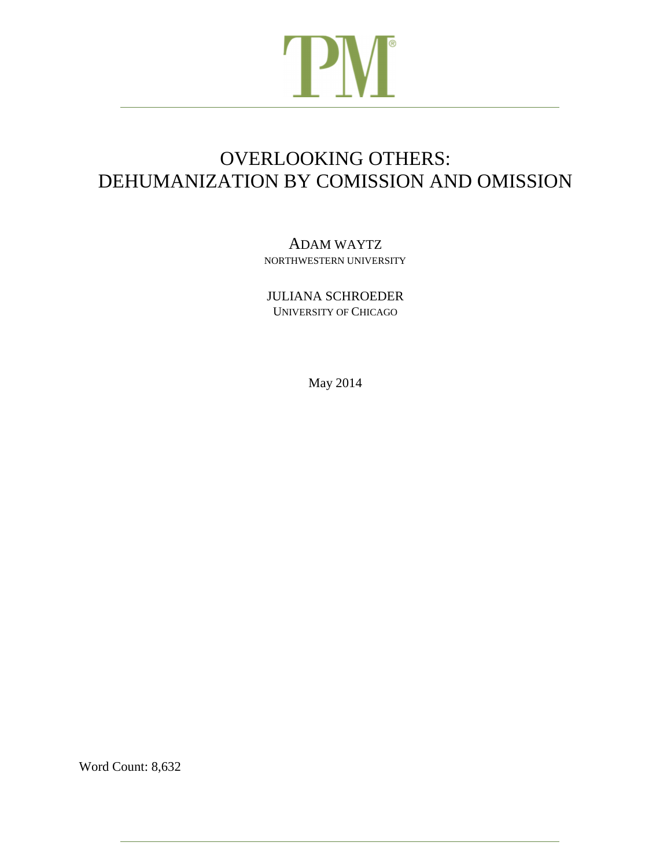# **PM**

# OVERLOOKING OTHERS: DEHUMANIZATION BY COMISSION AND OMISSION

# ADAM WAYTZ NORTHWESTERN UNIVERSITY

JULIANA SCHROEDER UNIVERSITY OF CHICAGO

May 2014

Word Count: 8,632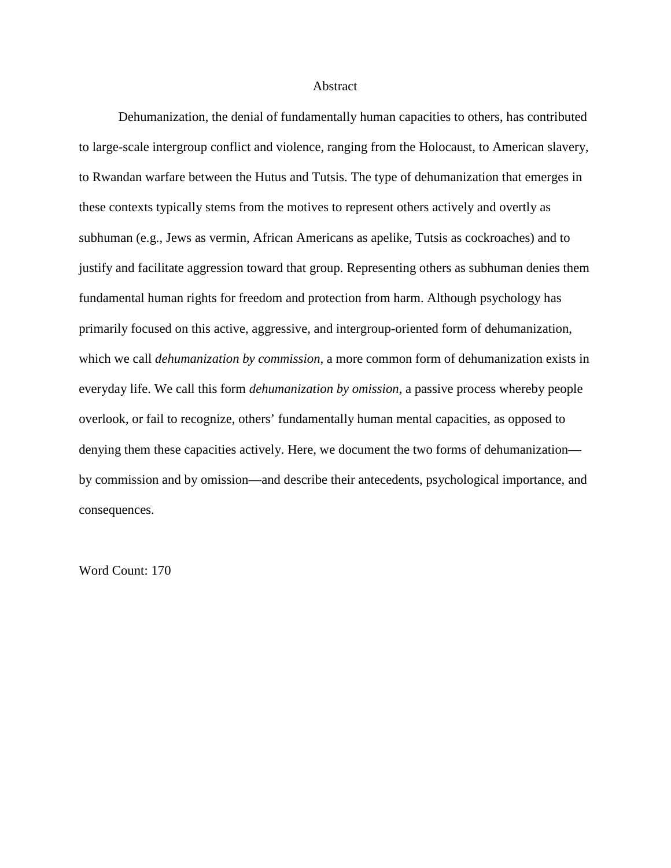#### Abstract

 Dehumanization, the denial of fundamentally human capacities to others, has contributed to large-scale intergroup conflict and violence, ranging from the Holocaust, to American slavery, to Rwandan warfare between the Hutus and Tutsis. The type of dehumanization that emerges in these contexts typically stems from the motives to represent others actively and overtly as subhuman (e.g., Jews as vermin, African Americans as apelike, Tutsis as cockroaches) and to justify and facilitate aggression toward that group. Representing others as subhuman denies them fundamental human rights for freedom and protection from harm. Although psychology has primarily focused on this active, aggressive, and intergroup-oriented form of dehumanization, which we call *dehumanization by commission*, a more common form of dehumanization exists in everyday life. We call this form *dehumanization by omission*, a passive process whereby people overlook, or fail to recognize, others' fundamentally human mental capacities, as opposed to denying them these capacities actively. Here, we document the two forms of dehumanization by commission and by omission—and describe their antecedents, psychological importance, and consequences.

Word Count: 170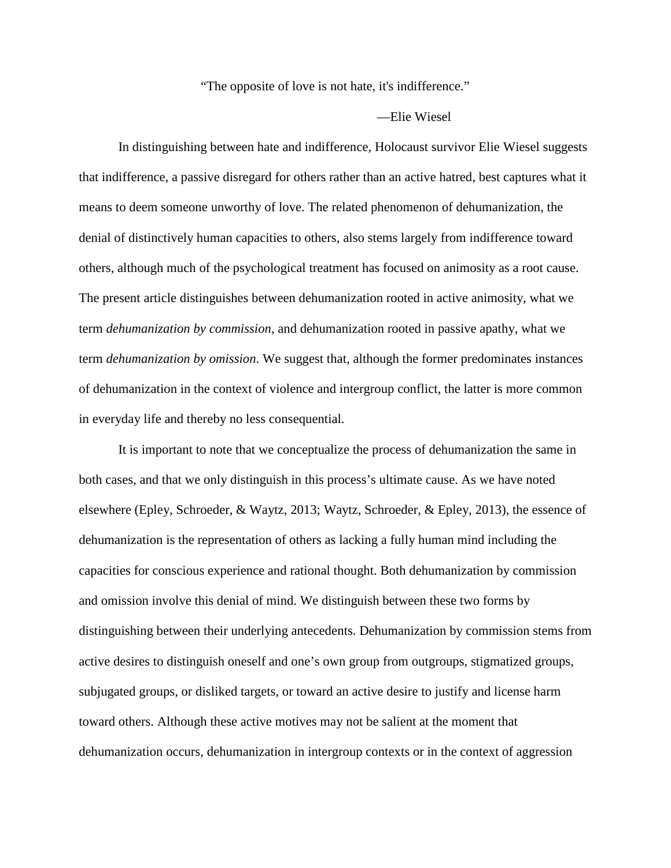## "The opposite of love is not hate, it's indifference."

#### —Elie Wiesel

 In distinguishing between hate and indifference, Holocaust survivor Elie Wiesel suggests that indifference, a passive disregard for others rather than an active hatred, best captures what it means to deem someone unworthy of love. The related phenomenon of dehumanization, the denial of distinctively human capacities to others, also stems largely from indifference toward others, although much of the psychological treatment has focused on animosity as a root cause. The present article distinguishes between dehumanization rooted in active animosity, what we term *dehumanization by commission*, and dehumanization rooted in passive apathy, what we term *dehumanization by omission*. We suggest that, although the former predominates instances of dehumanization in the context of violence and intergroup conflict, the latter is more common in everyday life and thereby no less consequential.

 It is important to note that we conceptualize the process of dehumanization the same in both cases, and that we only distinguish in this process's ultimate cause. As we have noted elsewhere (Epley, Schroeder, & Waytz, 2013; Waytz, Schroeder, & Epley, 2013), the essence of dehumanization is the representation of others as lacking a fully human mind including the capacities for conscious experience and rational thought. Both dehumanization by commission and omission involve this denial of mind. We distinguish between these two forms by distinguishing between their underlying antecedents. Dehumanization by commission stems from active desires to distinguish oneself and one's own group from outgroups, stigmatized groups, subjugated groups, or disliked targets, or toward an active desire to justify and license harm toward others. Although these active motives may not be salient at the moment that dehumanization occurs, dehumanization in intergroup contexts or in the context of aggression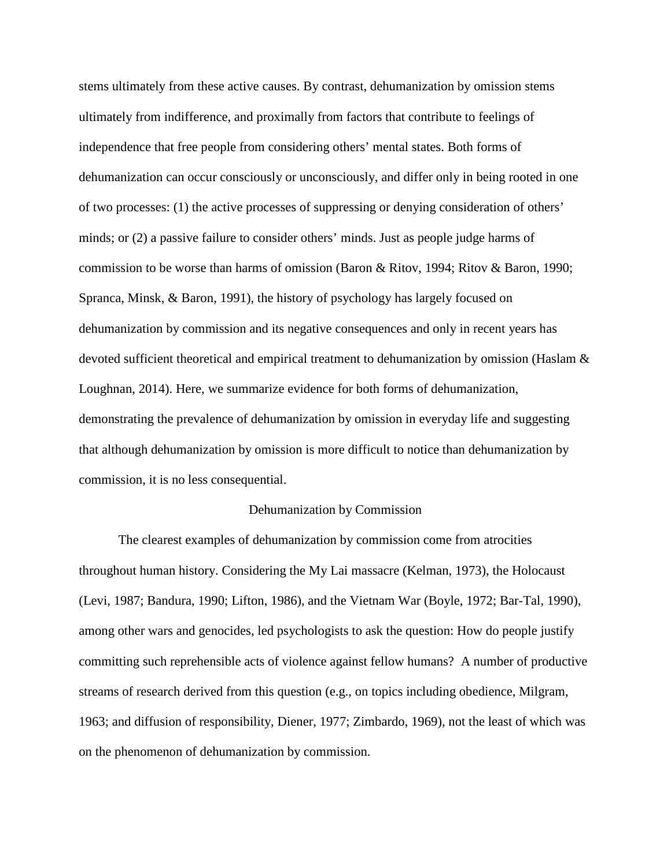stems ultimately from these active causes. By contrast, dehumanization by omission stems ultimately from indifference, and proximally from factors that contribute to feelings of independence that free people from considering others' mental states. Both forms of dehumanization can occur consciously or unconsciously, and differ only in being rooted in one of two processes: (1) the active processes of suppressing or denying consideration of others' minds; or (2) a passive failure to consider others' minds. Just as people judge harms of commission to be worse than harms of omission (Baron & Ritov, 1994; Ritov & Baron, 1990; Spranca, Minsk, & Baron, 1991), the history of psychology has largely focused on dehumanization by commission and its negative consequences and only in recent years has devoted sufficient theoretical and empirical treatment to dehumanization by omission (Haslam & Loughnan, 2014). Here, we summarize evidence for both forms of dehumanization, demonstrating the prevalence of dehumanization by omission in everyday life and suggesting that although dehumanization by omission is more difficult to notice than dehumanization by commission, it is no less consequential.

#### Dehumanization by Commission

The clearest examples of dehumanization by commission come from atrocities throughout human history. Considering the My Lai massacre (Kelman, 1973), the Holocaust (Levi, 1987; Bandura, 1990; Lifton, 1986), and the Vietnam War (Boyle, 1972; Bar-Tal, 1990), among other wars and genocides, led psychologists to ask the question: How do people justify committing such reprehensible acts of violence against fellow humans? A number of productive streams of research derived from this question (e.g., on topics including obedience, Milgram, 1963; and diffusion of responsibility, Diener, 1977; Zimbardo, 1969), not the least of which was on the phenomenon of dehumanization by commission.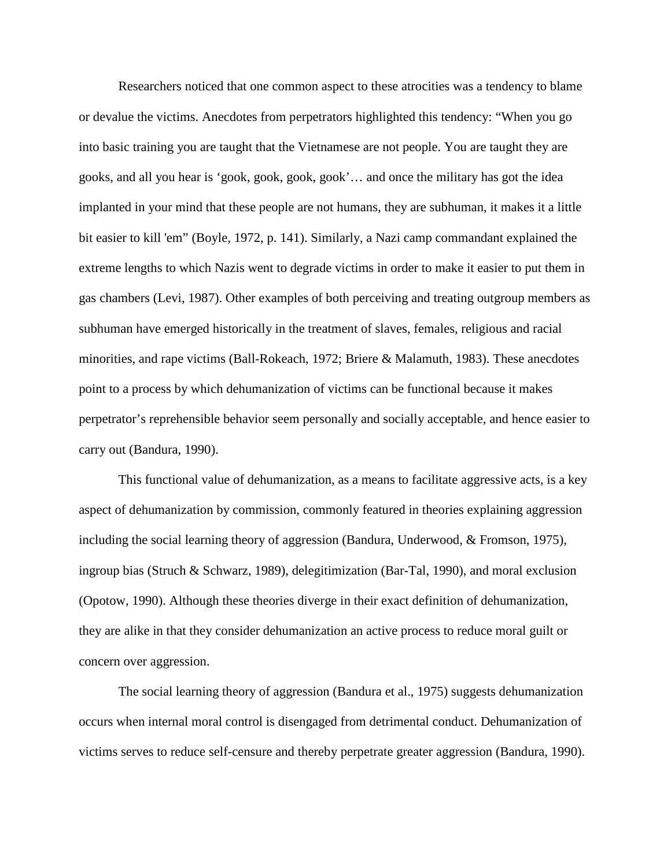Researchers noticed that one common aspect to these atrocities was a tendency to blame or devalue the victims. Anecdotes from perpetrators highlighted this tendency: "When you go into basic training you are taught that the Vietnamese are not people. You are taught they are gooks, and all you hear is 'gook, gook, gook, gook'… and once the military has got the idea implanted in your mind that these people are not humans, they are subhuman, it makes it a little bit easier to kill 'em" (Boyle, 1972, p. 141). Similarly, a Nazi camp commandant explained the extreme lengths to which Nazis went to degrade victims in order to make it easier to put them in gas chambers (Levi, 1987). Other examples of both perceiving and treating outgroup members as subhuman have emerged historically in the treatment of slaves, females, religious and racial minorities, and rape victims (Ball-Rokeach, 1972; Briere & Malamuth, 1983). These anecdotes point to a process by which dehumanization of victims can be functional because it makes perpetrator's reprehensible behavior seem personally and socially acceptable, and hence easier to carry out (Bandura, 1990).

This functional value of dehumanization, as a means to facilitate aggressive acts, is a key aspect of dehumanization by commission, commonly featured in theories explaining aggression including the social learning theory of aggression (Bandura, Underwood, & Fromson, 1975), ingroup bias (Struch & Schwarz, 1989), delegitimization (Bar-Tal, 1990), and moral exclusion (Opotow, 1990). Although these theories diverge in their exact definition of dehumanization, they are alike in that they consider dehumanization an active process to reduce moral guilt or concern over aggression.

The social learning theory of aggression (Bandura et al., 1975) suggests dehumanization occurs when internal moral control is disengaged from detrimental conduct. Dehumanization of victims serves to reduce self-censure and thereby perpetrate greater aggression (Bandura, 1990).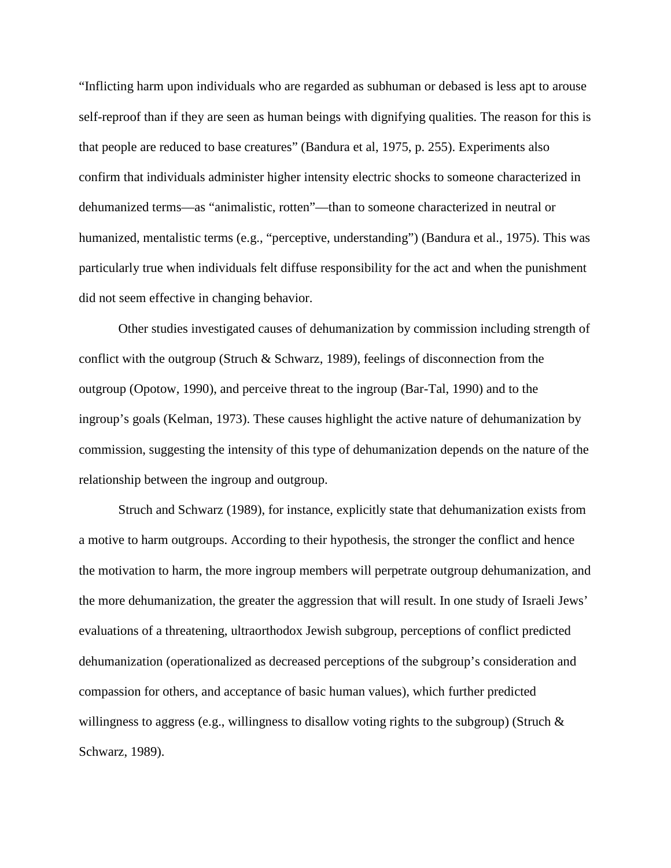"Inflicting harm upon individuals who are regarded as subhuman or debased is less apt to arouse self-reproof than if they are seen as human beings with dignifying qualities. The reason for this is that people are reduced to base creatures" (Bandura et al, 1975, p. 255). Experiments also confirm that individuals administer higher intensity electric shocks to someone characterized in dehumanized terms—as "animalistic, rotten"—than to someone characterized in neutral or humanized, mentalistic terms (e.g., "perceptive, understanding") (Bandura et al., 1975). This was particularly true when individuals felt diffuse responsibility for the act and when the punishment did not seem effective in changing behavior.

Other studies investigated causes of dehumanization by commission including strength of conflict with the outgroup (Struch & Schwarz, 1989), feelings of disconnection from the outgroup (Opotow, 1990), and perceive threat to the ingroup (Bar-Tal, 1990) and to the ingroup's goals (Kelman, 1973). These causes highlight the active nature of dehumanization by commission, suggesting the intensity of this type of dehumanization depends on the nature of the relationship between the ingroup and outgroup.

Struch and Schwarz (1989), for instance, explicitly state that dehumanization exists from a motive to harm outgroups. According to their hypothesis, the stronger the conflict and hence the motivation to harm, the more ingroup members will perpetrate outgroup dehumanization, and the more dehumanization, the greater the aggression that will result. In one study of Israeli Jews' evaluations of a threatening, ultraorthodox Jewish subgroup, perceptions of conflict predicted dehumanization (operationalized as decreased perceptions of the subgroup's consideration and compassion for others, and acceptance of basic human values), which further predicted willingness to aggress (e.g., willingness to disallow voting rights to the subgroup) (Struch & Schwarz, 1989).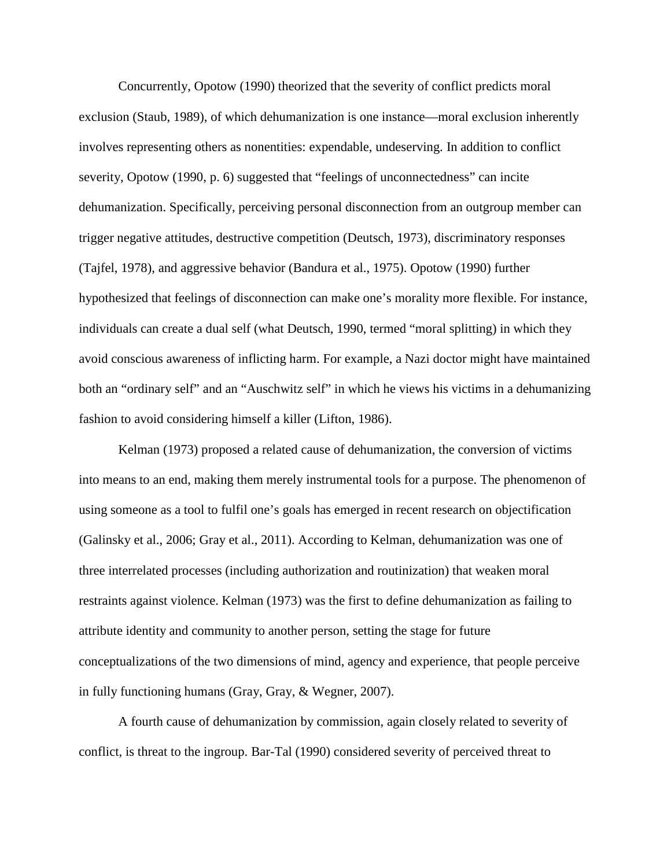Concurrently, Opotow (1990) theorized that the severity of conflict predicts moral exclusion (Staub, 1989), of which dehumanization is one instance—moral exclusion inherently involves representing others as nonentities: expendable, undeserving. In addition to conflict severity, Opotow (1990, p. 6) suggested that "feelings of unconnectedness" can incite dehumanization. Specifically, perceiving personal disconnection from an outgroup member can trigger negative attitudes, destructive competition (Deutsch, 1973), discriminatory responses (Tajfel, 1978), and aggressive behavior (Bandura et al., 1975). Opotow (1990) further hypothesized that feelings of disconnection can make one's morality more flexible. For instance, individuals can create a dual self (what Deutsch, 1990, termed "moral splitting) in which they avoid conscious awareness of inflicting harm. For example, a Nazi doctor might have maintained both an "ordinary self" and an "Auschwitz self" in which he views his victims in a dehumanizing fashion to avoid considering himself a killer (Lifton, 1986).

Kelman (1973) proposed a related cause of dehumanization, the conversion of victims into means to an end, making them merely instrumental tools for a purpose. The phenomenon of using someone as a tool to fulfil one's goals has emerged in recent research on objectification (Galinsky et al., 2006; Gray et al., 2011). According to Kelman, dehumanization was one of three interrelated processes (including authorization and routinization) that weaken moral restraints against violence. Kelman (1973) was the first to define dehumanization as failing to attribute identity and community to another person, setting the stage for future conceptualizations of the two dimensions of mind, agency and experience, that people perceive in fully functioning humans (Gray, Gray, & Wegner, 2007).

A fourth cause of dehumanization by commission, again closely related to severity of conflict, is threat to the ingroup. Bar-Tal (1990) considered severity of perceived threat to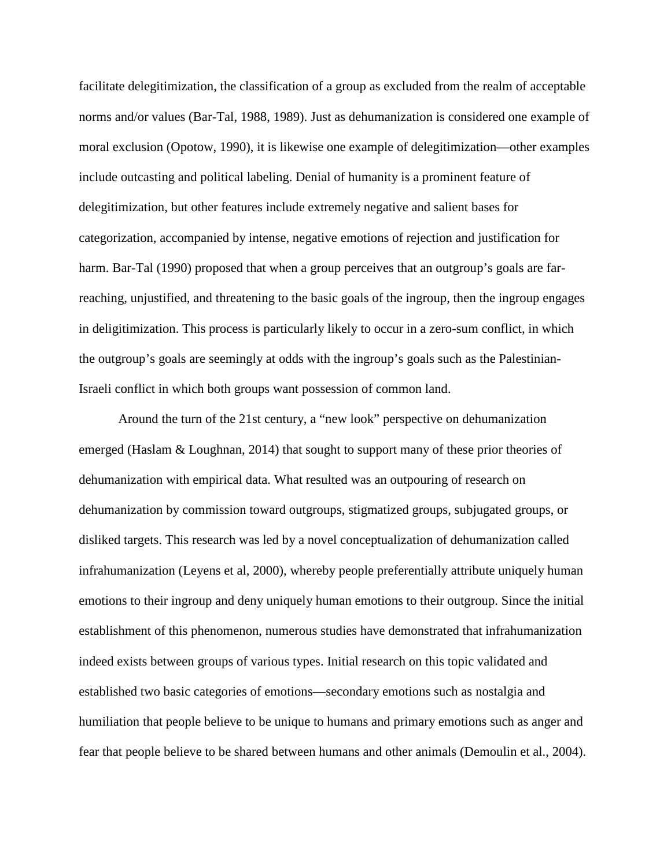facilitate delegitimization, the classification of a group as excluded from the realm of acceptable norms and/or values (Bar-Tal, 1988, 1989). Just as dehumanization is considered one example of moral exclusion (Opotow, 1990), it is likewise one example of delegitimization—other examples include outcasting and political labeling. Denial of humanity is a prominent feature of delegitimization, but other features include extremely negative and salient bases for categorization, accompanied by intense, negative emotions of rejection and justification for harm. Bar-Tal (1990) proposed that when a group perceives that an outgroup's goals are farreaching, unjustified, and threatening to the basic goals of the ingroup, then the ingroup engages in deligitimization. This process is particularly likely to occur in a zero-sum conflict, in which the outgroup's goals are seemingly at odds with the ingroup's goals such as the Palestinian-Israeli conflict in which both groups want possession of common land.

 Around the turn of the 21st century, a "new look" perspective on dehumanization emerged (Haslam & Loughnan, 2014) that sought to support many of these prior theories of dehumanization with empirical data. What resulted was an outpouring of research on dehumanization by commission toward outgroups, stigmatized groups, subjugated groups, or disliked targets. This research was led by a novel conceptualization of dehumanization called infrahumanization (Leyens et al, 2000), whereby people preferentially attribute uniquely human emotions to their ingroup and deny uniquely human emotions to their outgroup. Since the initial establishment of this phenomenon, numerous studies have demonstrated that infrahumanization indeed exists between groups of various types. Initial research on this topic validated and established two basic categories of emotions—secondary emotions such as nostalgia and humiliation that people believe to be unique to humans and primary emotions such as anger and fear that people believe to be shared between humans and other animals (Demoulin et al., 2004).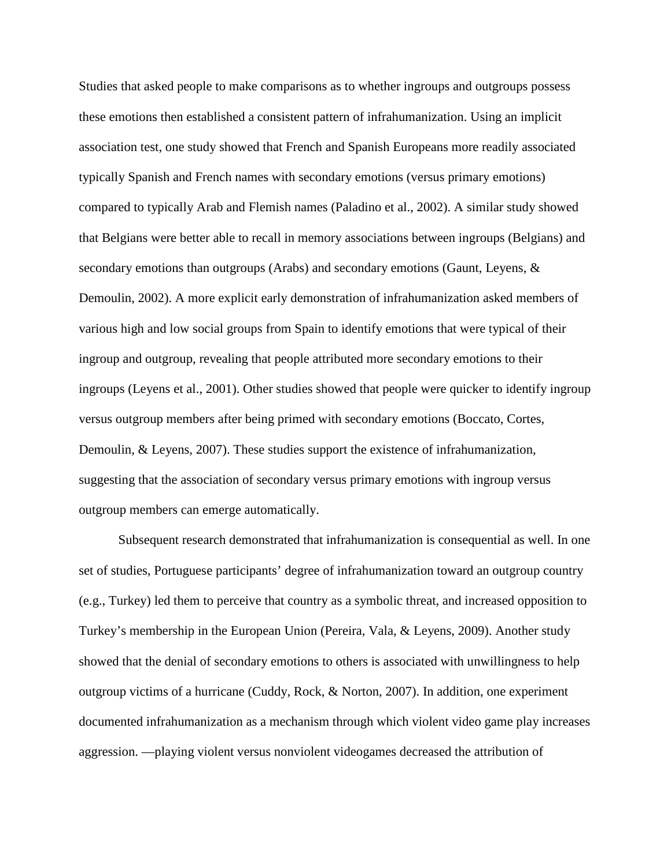Studies that asked people to make comparisons as to whether ingroups and outgroups possess these emotions then established a consistent pattern of infrahumanization. Using an implicit association test, one study showed that French and Spanish Europeans more readily associated typically Spanish and French names with secondary emotions (versus primary emotions) compared to typically Arab and Flemish names (Paladino et al., 2002). A similar study showed that Belgians were better able to recall in memory associations between ingroups (Belgians) and secondary emotions than outgroups (Arabs) and secondary emotions (Gaunt, Leyens, & Demoulin, 2002). A more explicit early demonstration of infrahumanization asked members of various high and low social groups from Spain to identify emotions that were typical of their ingroup and outgroup, revealing that people attributed more secondary emotions to their ingroups (Leyens et al., 2001). Other studies showed that people were quicker to identify ingroup versus outgroup members after being primed with secondary emotions (Boccato, Cortes, Demoulin, & Leyens, 2007). These studies support the existence of infrahumanization, suggesting that the association of secondary versus primary emotions with ingroup versus outgroup members can emerge automatically.

 Subsequent research demonstrated that infrahumanization is consequential as well. In one set of studies, Portuguese participants' degree of infrahumanization toward an outgroup country (e.g., Turkey) led them to perceive that country as a symbolic threat, and increased opposition to Turkey's membership in the European Union (Pereira, Vala, & Leyens, 2009). Another study showed that the denial of secondary emotions to others is associated with unwillingness to help outgroup victims of a hurricane (Cuddy, Rock, & Norton, 2007). In addition, one experiment documented infrahumanization as a mechanism through which violent video game play increases aggression. —playing violent versus nonviolent videogames decreased the attribution of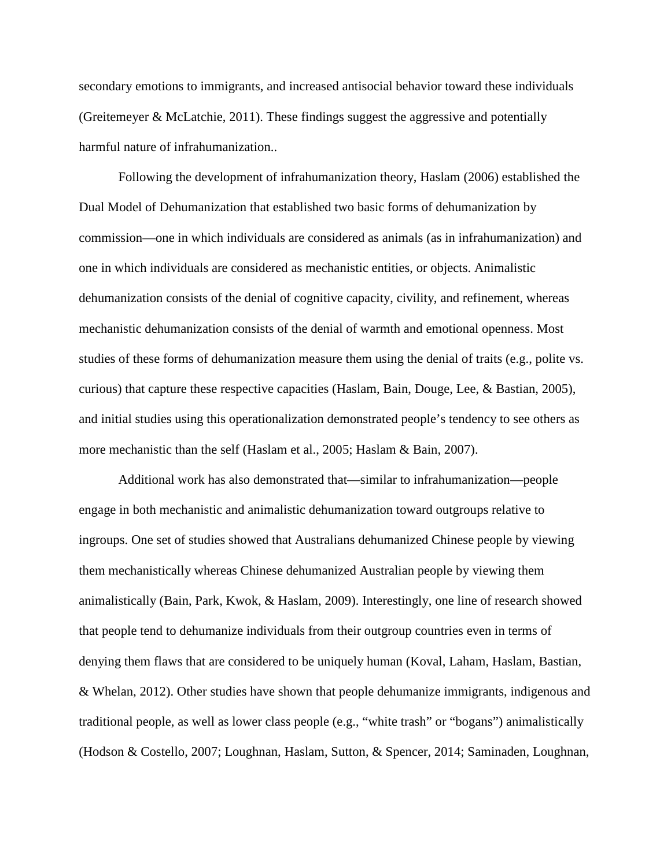secondary emotions to immigrants, and increased antisocial behavior toward these individuals (Greitemeyer & McLatchie, 2011). These findings suggest the aggressive and potentially harmful nature of infrahumanization..

 Following the development of infrahumanization theory, Haslam (2006) established the Dual Model of Dehumanization that established two basic forms of dehumanization by commission—one in which individuals are considered as animals (as in infrahumanization) and one in which individuals are considered as mechanistic entities, or objects. Animalistic dehumanization consists of the denial of cognitive capacity, civility, and refinement, whereas mechanistic dehumanization consists of the denial of warmth and emotional openness. Most studies of these forms of dehumanization measure them using the denial of traits (e.g., polite vs. curious) that capture these respective capacities (Haslam, Bain, Douge, Lee, & Bastian, 2005), and initial studies using this operationalization demonstrated people's tendency to see others as more mechanistic than the self (Haslam et al., 2005; Haslam & Bain, 2007).

 Additional work has also demonstrated that—similar to infrahumanization—people engage in both mechanistic and animalistic dehumanization toward outgroups relative to ingroups. One set of studies showed that Australians dehumanized Chinese people by viewing them mechanistically whereas Chinese dehumanized Australian people by viewing them animalistically (Bain, Park, Kwok, & Haslam, 2009). Interestingly, one line of research showed that people tend to dehumanize individuals from their outgroup countries even in terms of denying them flaws that are considered to be uniquely human (Koval, Laham, Haslam, Bastian, & Whelan, 2012). Other studies have shown that people dehumanize immigrants, indigenous and traditional people, as well as lower class people (e.g., "white trash" or "bogans") animalistically (Hodson & Costello, 2007; Loughnan, Haslam, Sutton, & Spencer, 2014; Saminaden, Loughnan,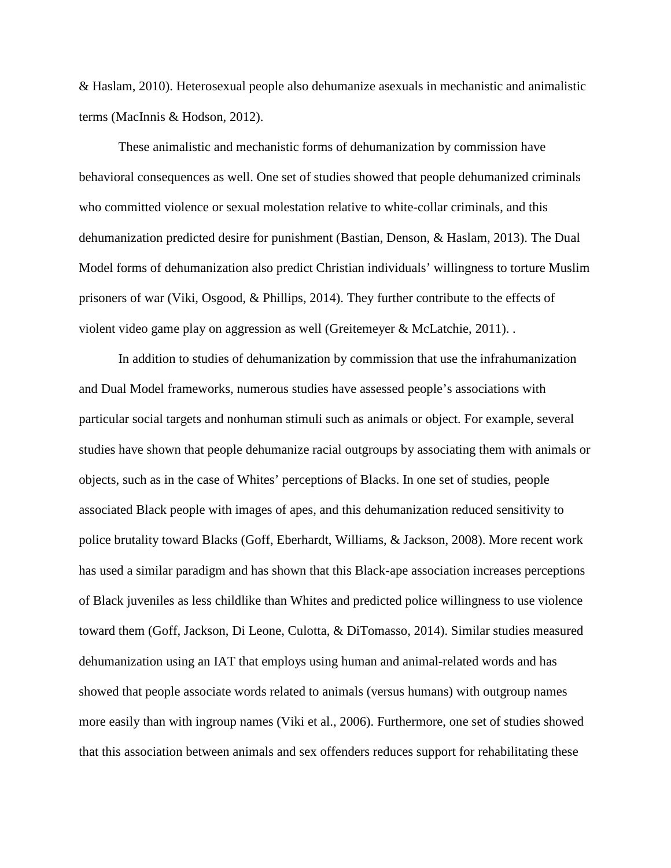& Haslam, 2010). Heterosexual people also dehumanize asexuals in mechanistic and animalistic terms (MacInnis & Hodson, 2012).

These animalistic and mechanistic forms of dehumanization by commission have behavioral consequences as well. One set of studies showed that people dehumanized criminals who committed violence or sexual molestation relative to white-collar criminals, and this dehumanization predicted desire for punishment (Bastian, Denson, & Haslam, 2013). The Dual Model forms of dehumanization also predict Christian individuals' willingness to torture Muslim prisoners of war (Viki, Osgood, & Phillips, 2014). They further contribute to the effects of violent video game play on aggression as well (Greitemeyer & McLatchie, 2011). .

 In addition to studies of dehumanization by commission that use the infrahumanization and Dual Model frameworks, numerous studies have assessed people's associations with particular social targets and nonhuman stimuli such as animals or object. For example, several studies have shown that people dehumanize racial outgroups by associating them with animals or objects, such as in the case of Whites' perceptions of Blacks. In one set of studies, people associated Black people with images of apes, and this dehumanization reduced sensitivity to police brutality toward Blacks (Goff, Eberhardt, Williams, & Jackson, 2008). More recent work has used a similar paradigm and has shown that this Black-ape association increases perceptions of Black juveniles as less childlike than Whites and predicted police willingness to use violence toward them (Goff, Jackson, Di Leone, Culotta, & DiTomasso, 2014). Similar studies measured dehumanization using an IAT that employs using human and animal-related words and has showed that people associate words related to animals (versus humans) with outgroup names more easily than with ingroup names (Viki et al., 2006). Furthermore, one set of studies showed that this association between animals and sex offenders reduces support for rehabilitating these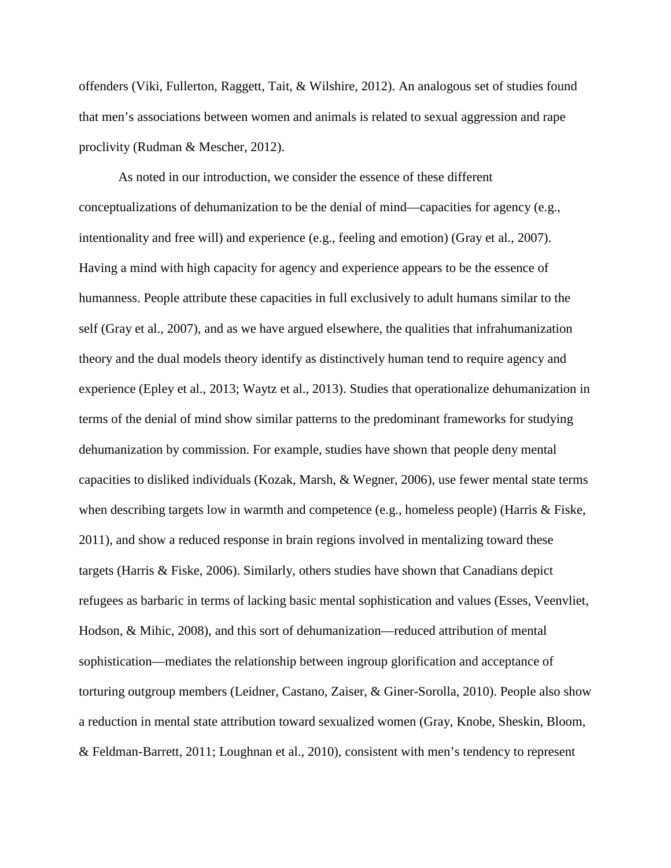offenders (Viki, Fullerton, Raggett, Tait, & Wilshire, 2012). An analogous set of studies found that men's associations between women and animals is related to sexual aggression and rape proclivity (Rudman & Mescher, 2012).

 As noted in our introduction, we consider the essence of these different conceptualizations of dehumanization to be the denial of mind—capacities for agency (e.g., intentionality and free will) and experience (e.g., feeling and emotion) (Gray et al., 2007). Having a mind with high capacity for agency and experience appears to be the essence of humanness. People attribute these capacities in full exclusively to adult humans similar to the self (Gray et al., 2007), and as we have argued elsewhere, the qualities that infrahumanization theory and the dual models theory identify as distinctively human tend to require agency and experience (Epley et al., 2013; Waytz et al., 2013). Studies that operationalize dehumanization in terms of the denial of mind show similar patterns to the predominant frameworks for studying dehumanization by commission. For example, studies have shown that people deny mental capacities to disliked individuals (Kozak, Marsh, & Wegner, 2006), use fewer mental state terms when describing targets low in warmth and competence (e.g., homeless people) (Harris  $\&$  Fiske, 2011), and show a reduced response in brain regions involved in mentalizing toward these targets (Harris & Fiske, 2006). Similarly, others studies have shown that Canadians depict refugees as barbaric in terms of lacking basic mental sophistication and values (Esses, Veenvliet, Hodson, & Mihic, 2008), and this sort of dehumanization—reduced attribution of mental sophistication—mediates the relationship between ingroup glorification and acceptance of torturing outgroup members (Leidner, Castano, Zaiser, & Giner-Sorolla, 2010). People also show a reduction in mental state attribution toward sexualized women (Gray, Knobe, Sheskin, Bloom, & Feldman-Barrett, 2011; Loughnan et al., 2010), consistent with men's tendency to represent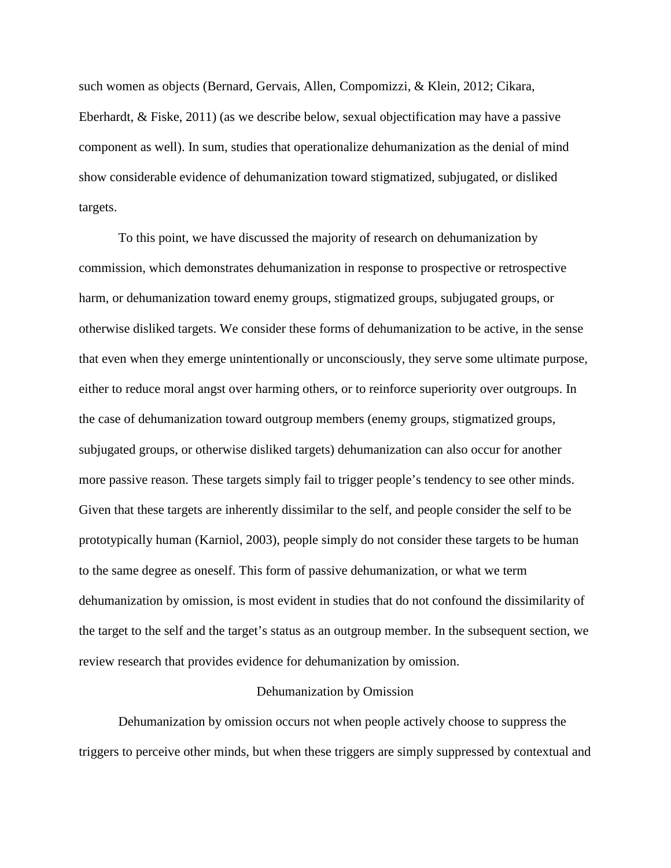such women as objects (Bernard, Gervais, Allen, Compomizzi, & Klein, 2012; Cikara, Eberhardt, & Fiske, 2011) (as we describe below, sexual objectification may have a passive component as well). In sum, studies that operationalize dehumanization as the denial of mind show considerable evidence of dehumanization toward stigmatized, subjugated, or disliked targets.

 To this point, we have discussed the majority of research on dehumanization by commission, which demonstrates dehumanization in response to prospective or retrospective harm, or dehumanization toward enemy groups, stigmatized groups, subjugated groups, or otherwise disliked targets. We consider these forms of dehumanization to be active, in the sense that even when they emerge unintentionally or unconsciously, they serve some ultimate purpose, either to reduce moral angst over harming others, or to reinforce superiority over outgroups. In the case of dehumanization toward outgroup members (enemy groups, stigmatized groups, subjugated groups, or otherwise disliked targets) dehumanization can also occur for another more passive reason. These targets simply fail to trigger people's tendency to see other minds. Given that these targets are inherently dissimilar to the self, and people consider the self to be prototypically human (Karniol, 2003), people simply do not consider these targets to be human to the same degree as oneself. This form of passive dehumanization, or what we term dehumanization by omission, is most evident in studies that do not confound the dissimilarity of the target to the self and the target's status as an outgroup member. In the subsequent section, we review research that provides evidence for dehumanization by omission.

#### Dehumanization by Omission

 Dehumanization by omission occurs not when people actively choose to suppress the triggers to perceive other minds, but when these triggers are simply suppressed by contextual and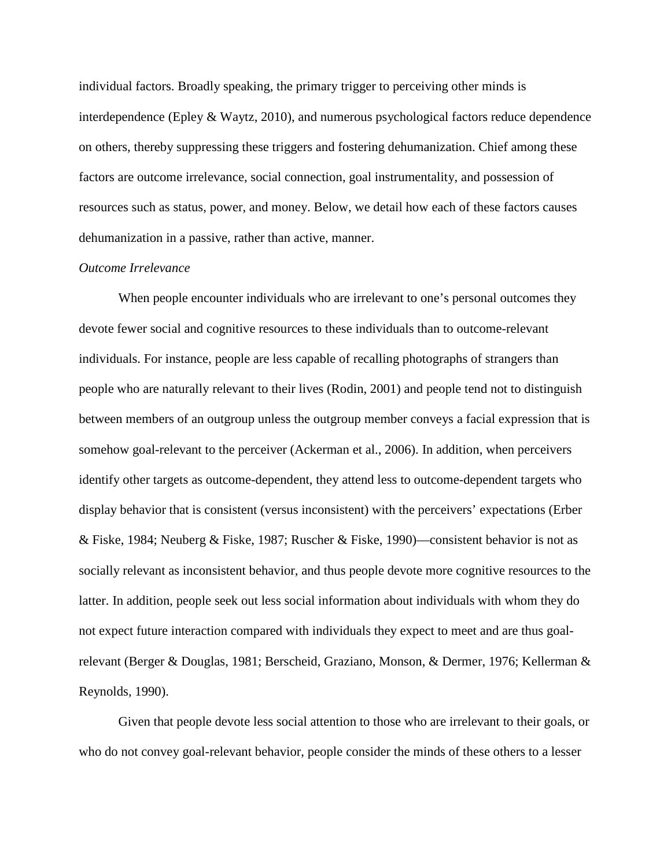individual factors. Broadly speaking, the primary trigger to perceiving other minds is interdependence (Epley & Waytz, 2010), and numerous psychological factors reduce dependence on others, thereby suppressing these triggers and fostering dehumanization. Chief among these factors are outcome irrelevance, social connection, goal instrumentality, and possession of resources such as status, power, and money. Below, we detail how each of these factors causes dehumanization in a passive, rather than active, manner.

# *Outcome Irrelevance*

When people encounter individuals who are irrelevant to one's personal outcomes they devote fewer social and cognitive resources to these individuals than to outcome-relevant individuals. For instance, people are less capable of recalling photographs of strangers than people who are naturally relevant to their lives (Rodin, 2001) and people tend not to distinguish between members of an outgroup unless the outgroup member conveys a facial expression that is somehow goal-relevant to the perceiver (Ackerman et al., 2006). In addition, when perceivers identify other targets as outcome-dependent, they attend less to outcome-dependent targets who display behavior that is consistent (versus inconsistent) with the perceivers' expectations (Erber & Fiske, 1984; Neuberg & Fiske, 1987; Ruscher & Fiske, 1990)—consistent behavior is not as socially relevant as inconsistent behavior, and thus people devote more cognitive resources to the latter. In addition, people seek out less social information about individuals with whom they do not expect future interaction compared with individuals they expect to meet and are thus goalrelevant (Berger & Douglas, 1981; Berscheid, Graziano, Monson, & Dermer, 1976; Kellerman & Reynolds, 1990).

 Given that people devote less social attention to those who are irrelevant to their goals, or who do not convey goal-relevant behavior, people consider the minds of these others to a lesser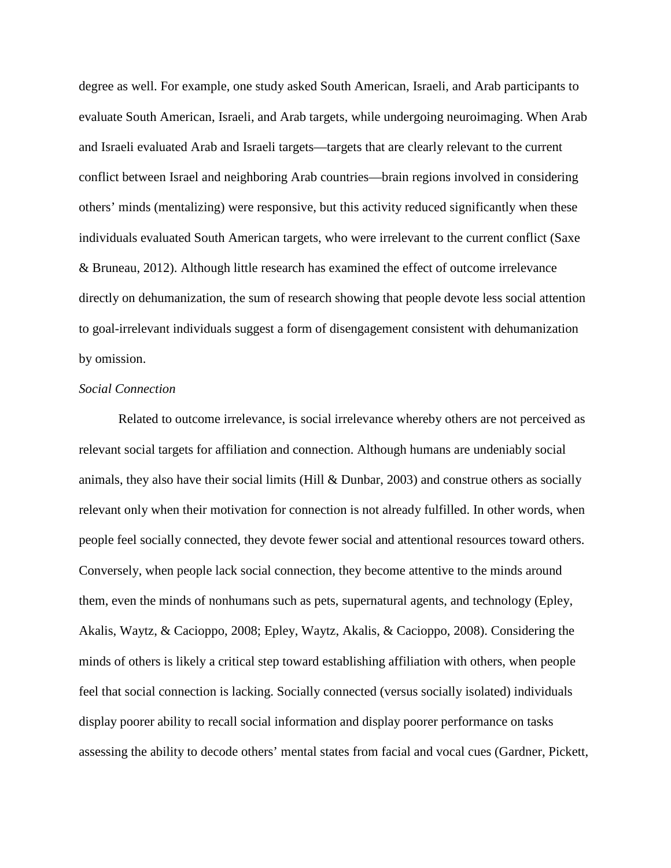degree as well. For example, one study asked South American, Israeli, and Arab participants to evaluate South American, Israeli, and Arab targets, while undergoing neuroimaging. When Arab and Israeli evaluated Arab and Israeli targets—targets that are clearly relevant to the current conflict between Israel and neighboring Arab countries—brain regions involved in considering others' minds (mentalizing) were responsive, but this activity reduced significantly when these individuals evaluated South American targets, who were irrelevant to the current conflict (Saxe & Bruneau, 2012). Although little research has examined the effect of outcome irrelevance directly on dehumanization, the sum of research showing that people devote less social attention to goal-irrelevant individuals suggest a form of disengagement consistent with dehumanization by omission.

#### *Social Connection*

 Related to outcome irrelevance, is social irrelevance whereby others are not perceived as relevant social targets for affiliation and connection. Although humans are undeniably social animals, they also have their social limits (Hill  $\&$  Dunbar, 2003) and construe others as socially relevant only when their motivation for connection is not already fulfilled. In other words, when people feel socially connected, they devote fewer social and attentional resources toward others. Conversely, when people lack social connection, they become attentive to the minds around them, even the minds of nonhumans such as pets, supernatural agents, and technology (Epley, Akalis, Waytz, & Cacioppo, 2008; Epley, Waytz, Akalis, & Cacioppo, 2008). Considering the minds of others is likely a critical step toward establishing affiliation with others, when people feel that social connection is lacking. Socially connected (versus socially isolated) individuals display poorer ability to recall social information and display poorer performance on tasks assessing the ability to decode others' mental states from facial and vocal cues (Gardner, Pickett,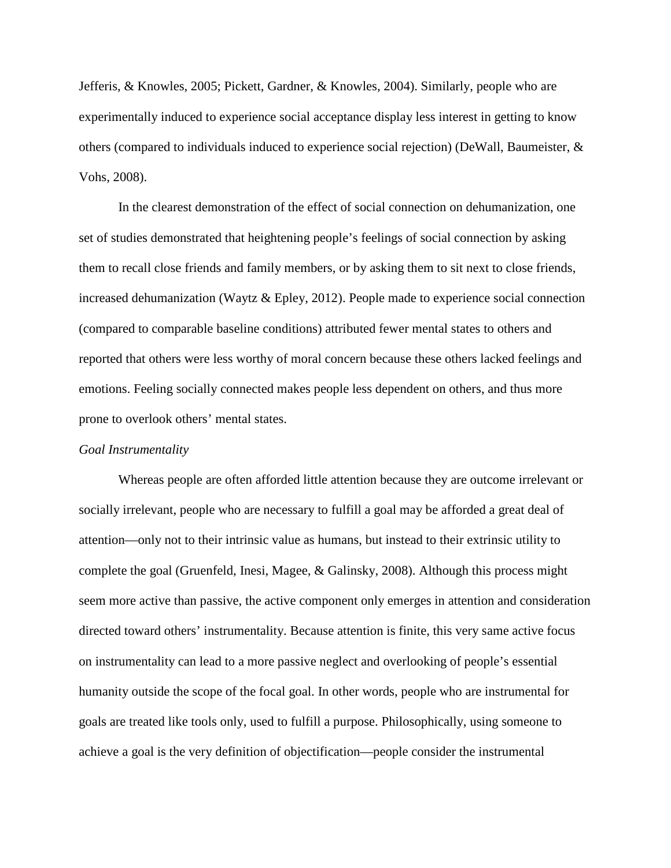Jefferis, & Knowles, 2005; Pickett, Gardner, & Knowles, 2004). Similarly, people who are experimentally induced to experience social acceptance display less interest in getting to know others (compared to individuals induced to experience social rejection) (DeWall, Baumeister,  $\&$ Vohs, 2008).

 In the clearest demonstration of the effect of social connection on dehumanization, one set of studies demonstrated that heightening people's feelings of social connection by asking them to recall close friends and family members, or by asking them to sit next to close friends, increased dehumanization (Waytz & Epley, 2012). People made to experience social connection (compared to comparable baseline conditions) attributed fewer mental states to others and reported that others were less worthy of moral concern because these others lacked feelings and emotions. Feeling socially connected makes people less dependent on others, and thus more prone to overlook others' mental states.

#### *Goal Instrumentality*

Whereas people are often afforded little attention because they are outcome irrelevant or socially irrelevant, people who are necessary to fulfill a goal may be afforded a great deal of attention—only not to their intrinsic value as humans, but instead to their extrinsic utility to complete the goal (Gruenfeld, Inesi, Magee, & Galinsky, 2008). Although this process might seem more active than passive, the active component only emerges in attention and consideration directed toward others' instrumentality. Because attention is finite, this very same active focus on instrumentality can lead to a more passive neglect and overlooking of people's essential humanity outside the scope of the focal goal. In other words, people who are instrumental for goals are treated like tools only, used to fulfill a purpose. Philosophically, using someone to achieve a goal is the very definition of objectification—people consider the instrumental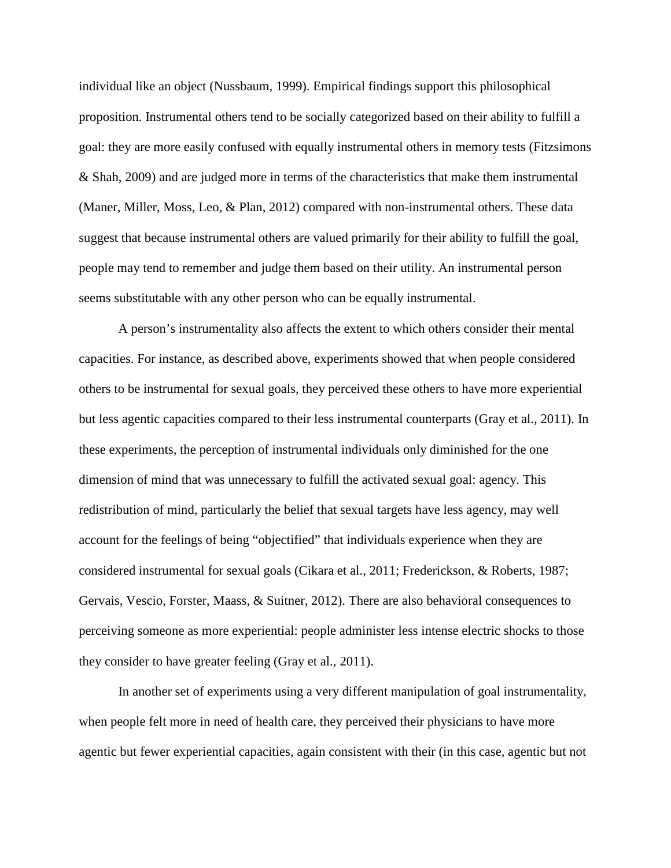individual like an object (Nussbaum, 1999). Empirical findings support this philosophical proposition. Instrumental others tend to be socially categorized based on their ability to fulfill a goal: they are more easily confused with equally instrumental others in memory tests (Fitzsimons & Shah, 2009) and are judged more in terms of the characteristics that make them instrumental (Maner, Miller, Moss, Leo, & Plan, 2012) compared with non-instrumental others. These data suggest that because instrumental others are valued primarily for their ability to fulfill the goal, people may tend to remember and judge them based on their utility. An instrumental person seems substitutable with any other person who can be equally instrumental.

A person's instrumentality also affects the extent to which others consider their mental capacities. For instance, as described above, experiments showed that when people considered others to be instrumental for sexual goals, they perceived these others to have more experiential but less agentic capacities compared to their less instrumental counterparts (Gray et al., 2011). In these experiments, the perception of instrumental individuals only diminished for the one dimension of mind that was unnecessary to fulfill the activated sexual goal: agency. This redistribution of mind, particularly the belief that sexual targets have less agency, may well account for the feelings of being "objectified" that individuals experience when they are considered instrumental for sexual goals (Cikara et al., 2011; Frederickson, & Roberts, 1987; Gervais, Vescio, Forster, Maass, & Suitner, 2012). There are also behavioral consequences to perceiving someone as more experiential: people administer less intense electric shocks to those they consider to have greater feeling (Gray et al., 2011).

In another set of experiments using a very different manipulation of goal instrumentality, when people felt more in need of health care, they perceived their physicians to have more agentic but fewer experiential capacities, again consistent with their (in this case, agentic but not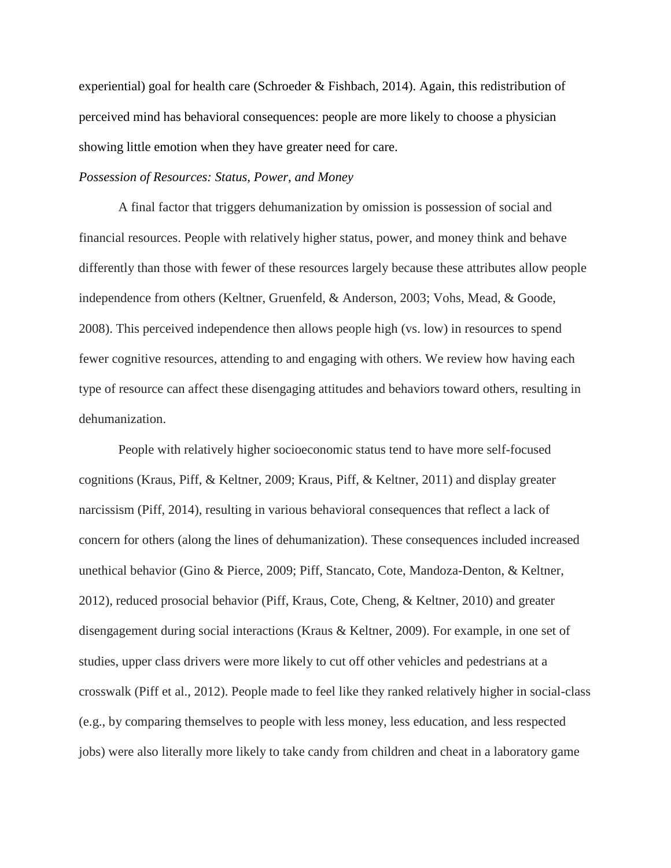experiential) goal for health care (Schroeder & Fishbach, 2014). Again, this redistribution of perceived mind has behavioral consequences: people are more likely to choose a physician showing little emotion when they have greater need for care.

#### *Possession of Resources: Status, Power, and Money*

 A final factor that triggers dehumanization by omission is possession of social and financial resources. People with relatively higher status, power, and money think and behave differently than those with fewer of these resources largely because these attributes allow people independence from others (Keltner, Gruenfeld, & Anderson, 2003; Vohs, Mead, & Goode, 2008). This perceived independence then allows people high (vs. low) in resources to spend fewer cognitive resources, attending to and engaging with others. We review how having each type of resource can affect these disengaging attitudes and behaviors toward others, resulting in dehumanization.

People with relatively higher socioeconomic status tend to have more self-focused cognitions (Kraus, Piff, & Keltner, 2009; Kraus, Piff, & Keltner, 2011) and display greater narcissism (Piff, 2014), resulting in various behavioral consequences that reflect a lack of concern for others (along the lines of dehumanization). These consequences included increased unethical behavior (Gino & Pierce, 2009; Piff, Stancato, Cote, Mandoza-Denton, & Keltner, 2012), reduced prosocial behavior (Piff, Kraus, Cote, Cheng, & Keltner, 2010) and greater disengagement during social interactions (Kraus & Keltner, 2009). For example, in one set of studies, upper class drivers were more likely to cut off other vehicles and pedestrians at a crosswalk (Piff et al., 2012). People made to feel like they ranked relatively higher in social-class (e.g., by comparing themselves to people with less money, less education, and less respected jobs) were also literally more likely to take candy from children and cheat in a laboratory game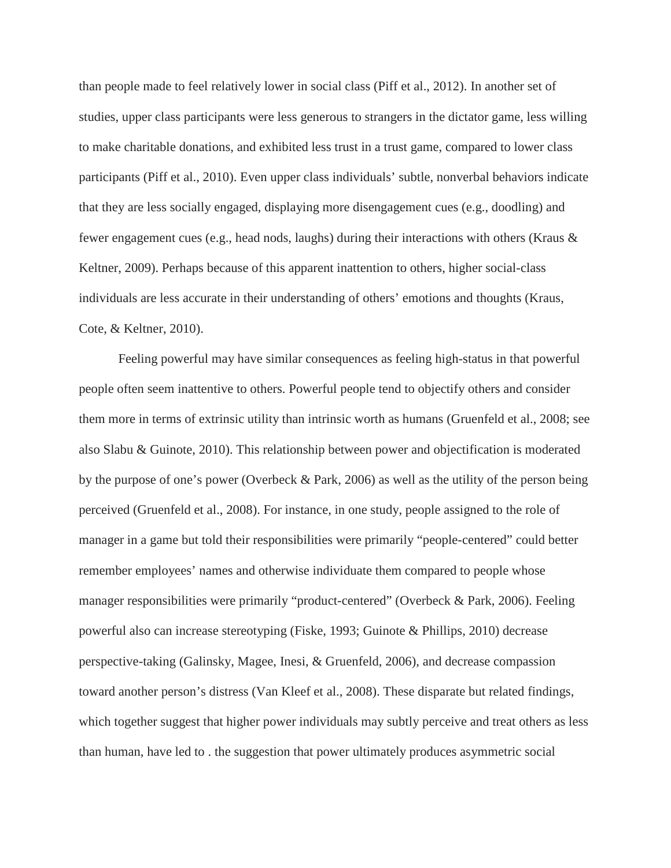than people made to feel relatively lower in social class (Piff et al., 2012). In another set of studies, upper class participants were less generous to strangers in the dictator game, less willing to make charitable donations, and exhibited less trust in a trust game, compared to lower class participants (Piff et al., 2010). Even upper class individuals' subtle, nonverbal behaviors indicate that they are less socially engaged, displaying more disengagement cues (e.g., doodling) and fewer engagement cues (e.g., head nods, laughs) during their interactions with others (Kraus  $\&$ Keltner, 2009). Perhaps because of this apparent inattention to others, higher social-class individuals are less accurate in their understanding of others' emotions and thoughts (Kraus, Cote, & Keltner, 2010).

Feeling powerful may have similar consequences as feeling high-status in that powerful people often seem inattentive to others. Powerful people tend to objectify others and consider them more in terms of extrinsic utility than intrinsic worth as humans (Gruenfeld et al., 2008; see also Slabu & Guinote, 2010). This relationship between power and objectification is moderated by the purpose of one's power (Overbeck & Park, 2006) as well as the utility of the person being perceived (Gruenfeld et al., 2008). For instance, in one study, people assigned to the role of manager in a game but told their responsibilities were primarily "people-centered" could better remember employees' names and otherwise individuate them compared to people whose manager responsibilities were primarily "product-centered" (Overbeck & Park, 2006). Feeling powerful also can increase stereotyping (Fiske, 1993; Guinote & Phillips, 2010) decrease perspective-taking (Galinsky, Magee, Inesi, & Gruenfeld, 2006), and decrease compassion toward another person's distress (Van Kleef et al., 2008). These disparate but related findings, which together suggest that higher power individuals may subtly perceive and treat others as less than human, have led to . the suggestion that power ultimately produces asymmetric social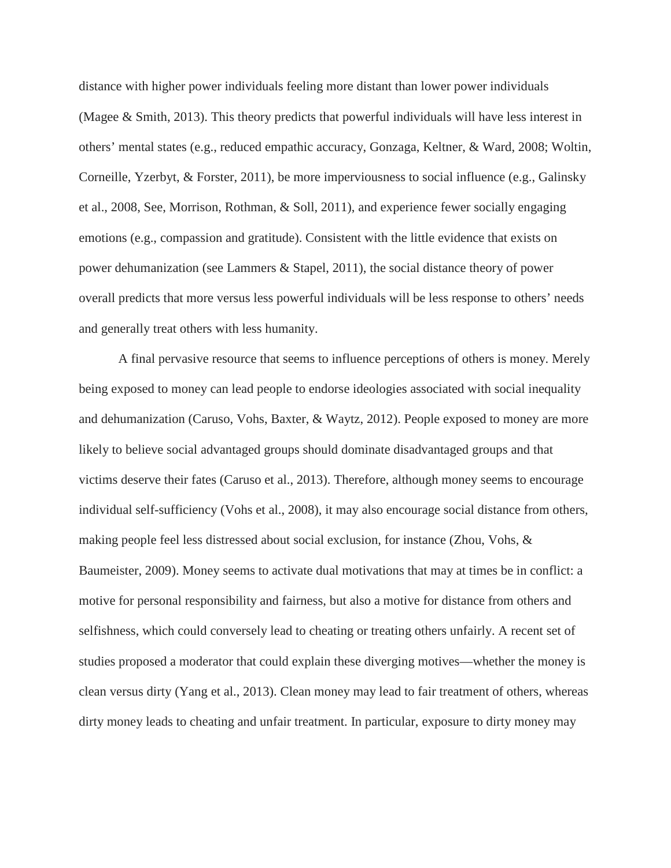distance with higher power individuals feeling more distant than lower power individuals (Magee & Smith, 2013). This theory predicts that powerful individuals will have less interest in others' mental states (e.g., reduced empathic accuracy, Gonzaga, Keltner, & Ward, 2008; Woltin, Corneille, Yzerbyt, & Forster, 2011), be more imperviousness to social influence (e.g., Galinsky et al., 2008, See, Morrison, Rothman, & Soll, 2011), and experience fewer socially engaging emotions (e.g., compassion and gratitude). Consistent with the little evidence that exists on power dehumanization (see Lammers & Stapel, 2011), the social distance theory of power overall predicts that more versus less powerful individuals will be less response to others' needs and generally treat others with less humanity.

A final pervasive resource that seems to influence perceptions of others is money. Merely being exposed to money can lead people to endorse ideologies associated with social inequality and dehumanization (Caruso, Vohs, Baxter, & Waytz, 2012). People exposed to money are more likely to believe social advantaged groups should dominate disadvantaged groups and that victims deserve their fates (Caruso et al., 2013). Therefore, although money seems to encourage individual self-sufficiency (Vohs et al., 2008), it may also encourage social distance from others, making people feel less distressed about social exclusion, for instance (Zhou, Vohs, & Baumeister, 2009). Money seems to activate dual motivations that may at times be in conflict: a motive for personal responsibility and fairness, but also a motive for distance from others and selfishness, which could conversely lead to cheating or treating others unfairly. A recent set of studies proposed a moderator that could explain these diverging motives—whether the money is clean versus dirty (Yang et al., 2013). Clean money may lead to fair treatment of others, whereas dirty money leads to cheating and unfair treatment. In particular, exposure to dirty money may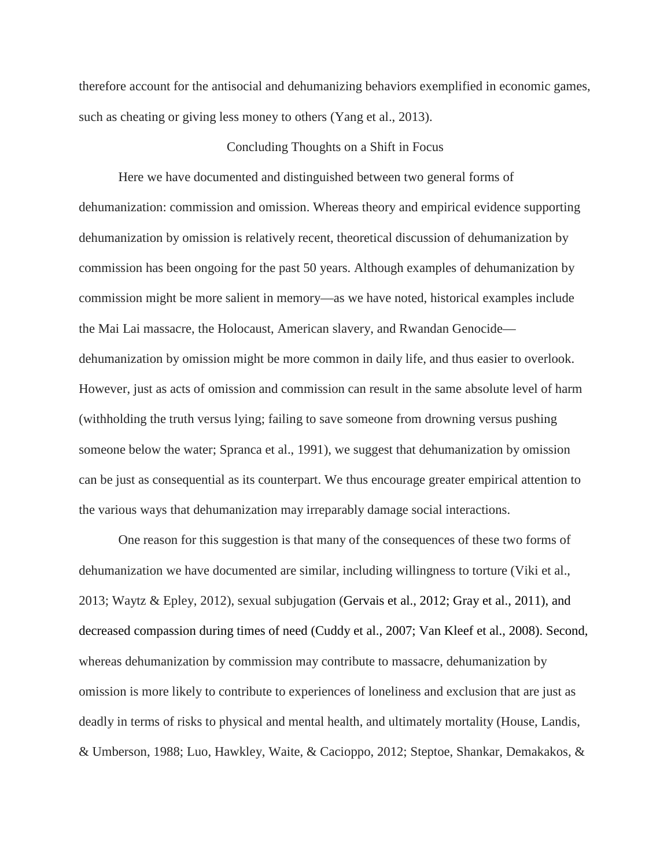therefore account for the antisocial and dehumanizing behaviors exemplified in economic games, such as cheating or giving less money to others (Yang et al., 2013).

### Concluding Thoughts on a Shift in Focus

 Here we have documented and distinguished between two general forms of dehumanization: commission and omission. Whereas theory and empirical evidence supporting dehumanization by omission is relatively recent, theoretical discussion of dehumanization by commission has been ongoing for the past 50 years. Although examples of dehumanization by commission might be more salient in memory—as we have noted, historical examples include the Mai Lai massacre, the Holocaust, American slavery, and Rwandan Genocide dehumanization by omission might be more common in daily life, and thus easier to overlook. However, just as acts of omission and commission can result in the same absolute level of harm (withholding the truth versus lying; failing to save someone from drowning versus pushing someone below the water; Spranca et al., 1991), we suggest that dehumanization by omission can be just as consequential as its counterpart. We thus encourage greater empirical attention to the various ways that dehumanization may irreparably damage social interactions.

 One reason for this suggestion is that many of the consequences of these two forms of dehumanization we have documented are similar, including willingness to torture (Viki et al., 2013; Waytz & Epley, 2012), sexual subjugation (Gervais et al., 2012; Gray et al., 2011), and decreased compassion during times of need (Cuddy et al., 2007; Van Kleef et al., 2008). Second, whereas dehumanization by commission may contribute to massacre, dehumanization by omission is more likely to contribute to experiences of loneliness and exclusion that are just as deadly in terms of risks to physical and mental health, and ultimately mortality (House, Landis, & Umberson, 1988; Luo, Hawkley, Waite, & Cacioppo, 2012; Steptoe, Shankar, Demakakos, &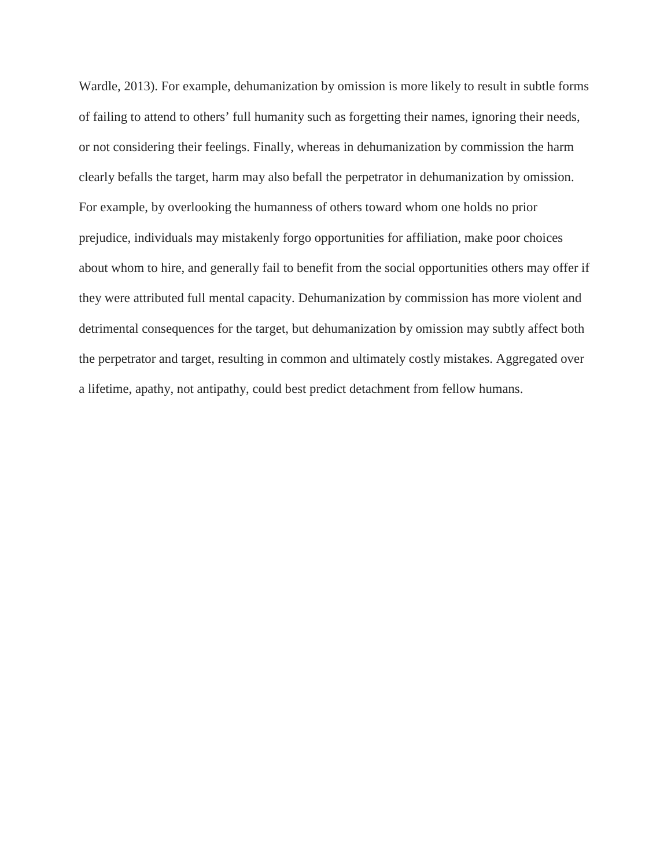Wardle, 2013). For example, dehumanization by omission is more likely to result in subtle forms of failing to attend to others' full humanity such as forgetting their names, ignoring their needs, or not considering their feelings. Finally, whereas in dehumanization by commission the harm clearly befalls the target, harm may also befall the perpetrator in dehumanization by omission. For example, by overlooking the humanness of others toward whom one holds no prior prejudice, individuals may mistakenly forgo opportunities for affiliation, make poor choices about whom to hire, and generally fail to benefit from the social opportunities others may offer if they were attributed full mental capacity. Dehumanization by commission has more violent and detrimental consequences for the target, but dehumanization by omission may subtly affect both the perpetrator and target, resulting in common and ultimately costly mistakes. Aggregated over a lifetime, apathy, not antipathy, could best predict detachment from fellow humans.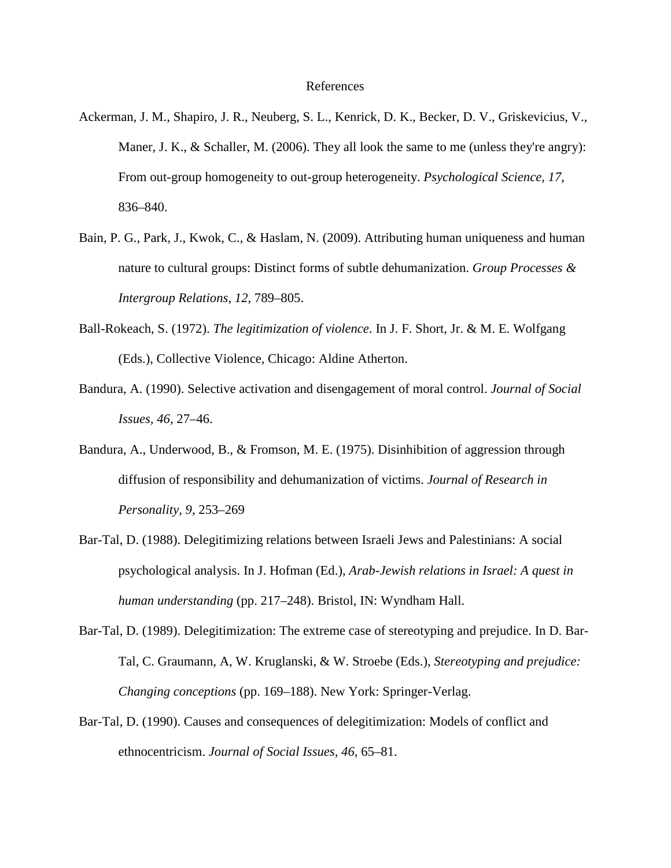#### References

- Ackerman, J. M., Shapiro, J. R., Neuberg, S. L., Kenrick, D. K., Becker, D. V., Griskevicius, V., Maner, J. K.,  $\&$  Schaller, M. (2006). They all look the same to me (unless they're angry): From out-group homogeneity to out-group heterogeneity. *Psychological Science, 17*, 836–840.
- Bain, P. G., Park, J., Kwok, C., & Haslam, N. (2009). Attributing human uniqueness and human nature to cultural groups: Distinct forms of subtle dehumanization. *Group Processes & Intergroup Relations, 12*, 789–805.
- Ball-Rokeach, S. (1972). *The legitimization of violence*. In J. F. Short, Jr. & M. E. Wolfgang (Eds.), Collective Violence, Chicago: Aldine Atherton.
- Bandura, A. (1990). Selective activation and disengagement of moral control. *Journal of Social Issues, 46*, 27–46.
- Bandura, A., Underwood, B., & Fromson, M. E. (1975). Disinhibition of aggression through diffusion of responsibility and dehumanization of victims. *Journal of Research in Personality, 9*, 253–269
- Bar-Tal, D. (1988). Delegitimizing relations between Israeli Jews and Palestinians: A social psychological analysis. In J. Hofman (Ed.), *Arab-Jewish relations in Israel: A quest in human understanding* (pp. 217–248). Bristol, IN: Wyndham Hall.
- Bar-Tal, D. (1989). Delegitimization: The extreme case of stereotyping and prejudice. In D. Bar-Tal, C. Graumann, A, W. Kruglanski, & W. Stroebe (Eds.), *Stereotyping and prejudice: Changing conceptions* (pp. 169–188). New York: Springer-Verlag.
- Bar-Tal, D. (1990). Causes and consequences of delegitimization: Models of conflict and ethnocentricism. *Journal of Social Issues, 46*, 65–81.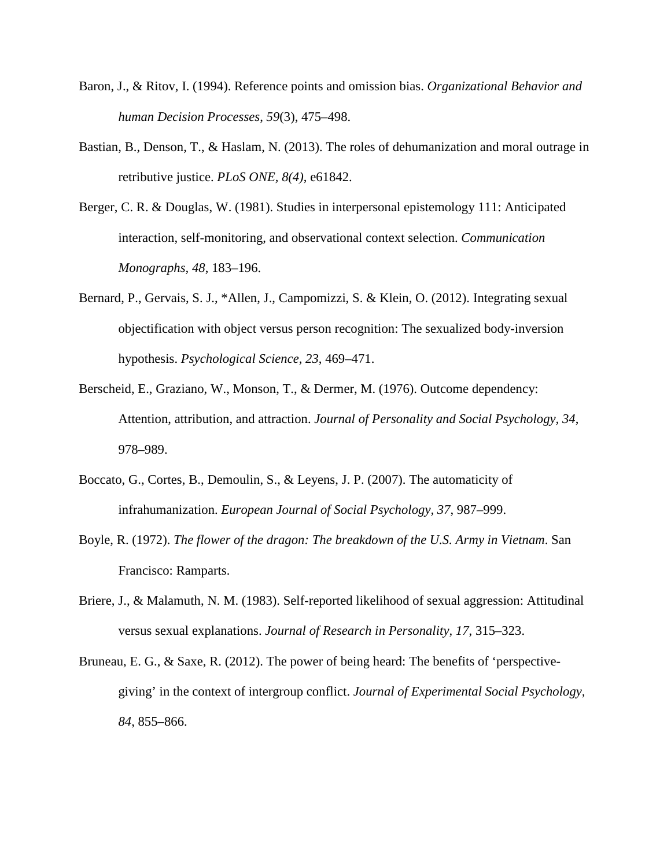- Baron, J., & Ritov, I. (1994). Reference points and omission bias. *Organizational Behavior and human Decision Processes*, *59*(3), 475–498.
- Bastian, B., Denson, T., & Haslam, N. (2013). The roles of dehumanization and moral outrage in retributive justice. *PLoS ONE, 8(4)*, e61842.
- Berger, C. R. & Douglas, W. (1981). Studies in interpersonal epistemology 111: Anticipated interaction, self-monitoring, and observational context selection. *Communication Monographs, 48*, 183–196.
- Bernard, P., Gervais, S. J., \*Allen, J., Campomizzi, S. & Klein, O. (2012). Integrating sexual objectification with object versus person recognition: The sexualized body-inversion hypothesis. *Psychological Science, 23*, 469–471.
- Berscheid, E., Graziano, W., Monson, T., & Dermer, M. (1976). Outcome dependency: Attention, attribution, and attraction. *Journal of Personality and Social Psychology, 34*, 978–989.
- Boccato, G., Cortes, B., Demoulin, S., & Leyens, J. P. (2007). The automaticity of infrahumanization. *European Journal of Social Psychology, 37*, 987–999.
- Boyle, R. (1972). *The flower of the dragon: The breakdown of the U.S. Army in Vietnam*. San Francisco: Ramparts.
- Briere, J., & Malamuth, N. M. (1983). Self-reported likelihood of sexual aggression: Attitudinal versus sexual explanations. *Journal of Research in Personality, 17*, 315–323.
- Bruneau, E. G., & Saxe, R. (2012). The power of being heard: The benefits of 'perspectivegiving' in the context of intergroup conflict. *Journal of Experimental Social Psychology, 84*, 855–866.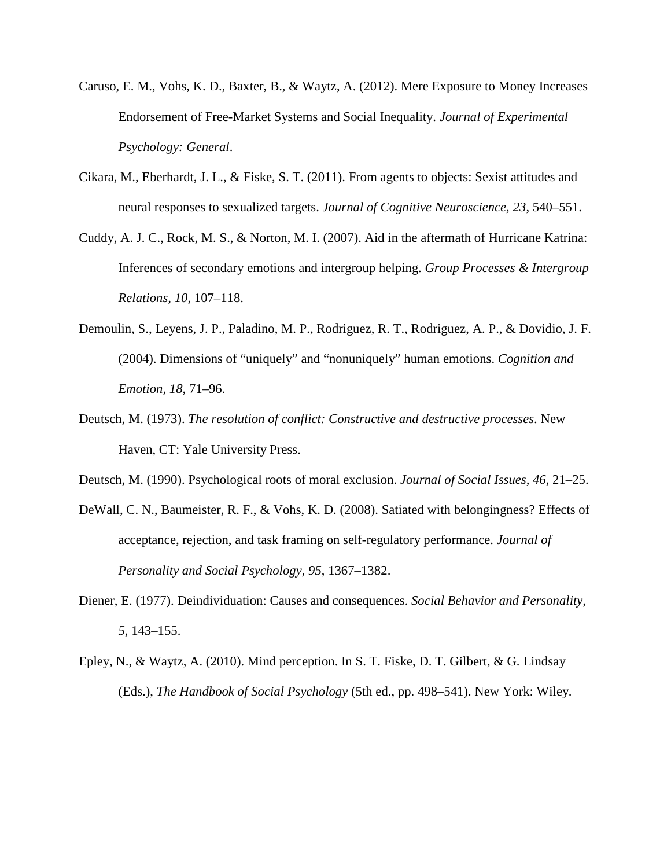- Caruso, E. M., Vohs, K. D., Baxter, B., & Waytz, A. (2012). Mere Exposure to Money Increases Endorsement of Free-Market Systems and Social Inequality. *Journal of Experimental Psychology: General*.
- Cikara, M., Eberhardt, J. L., & Fiske, S. T. (2011). From agents to objects: Sexist attitudes and neural responses to sexualized targets. *Journal of Cognitive Neuroscience, 23*, 540–551.
- Cuddy, A. J. C., Rock, M. S., & Norton, M. I. (2007). Aid in the aftermath of Hurricane Katrina: Inferences of secondary emotions and intergroup helping. *Group Processes & Intergroup Relations, 10*, 107–118.
- Demoulin, S., Leyens, J. P., Paladino, M. P., Rodriguez, R. T., Rodriguez, A. P., & Dovidio, J. F. (2004). Dimensions of "uniquely" and "nonuniquely" human emotions. *Cognition and Emotion, 18*, 71–96.
- Deutsch, M. (1973). *The resolution of conflict: Constructive and destructive processes*. New Haven, CT: Yale University Press.
- Deutsch, M. (1990). Psychological roots of moral exclusion. *Journal of Social Issues, 46*, 21–25.
- DeWall, C. N., Baumeister, R. F., & Vohs, K. D. (2008). Satiated with belongingness? Effects of acceptance, rejection, and task framing on self-regulatory performance. *Journal of Personality and Social Psychology, 95*, 1367–1382.
- Diener, E. (1977). Deindividuation: Causes and consequences. *Social Behavior and Personality, 5*, 143–155.
- Epley, N., & Waytz, A. (2010). Mind perception. In S. T. Fiske, D. T. Gilbert, & G. Lindsay (Eds.), *The Handbook of Social Psychology* (5th ed., pp. 498–541). New York: Wiley.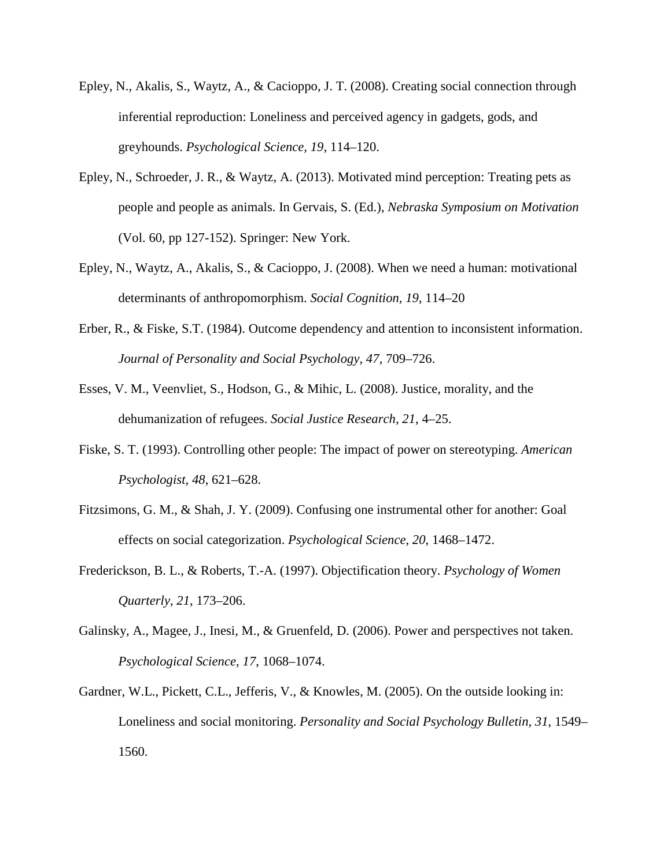- Epley, N., Akalis, S., Waytz, A., & Cacioppo, J. T. (2008). Creating social connection through inferential reproduction: Loneliness and perceived agency in gadgets, gods, and greyhounds. *Psychological Science, 19*, 114–120.
- Epley, N., Schroeder, J. R., & Waytz, A. (2013). Motivated mind perception: Treating pets as people and people as animals. In Gervais, S. (Ed.), *Nebraska Symposium on Motivation* (Vol. 60, pp 127-152). Springer: New York.
- Epley, N., Waytz, A., Akalis, S., & Cacioppo, J. (2008). When we need a human: motivational determinants of anthropomorphism. *Social Cognition, 19*, 114–20
- Erber, R., & Fiske, S.T. (1984). Outcome dependency and attention to inconsistent information. *Journal of Personality and Social Psychology, 47*, 709–726.
- Esses, V. M., Veenvliet, S., Hodson, G., & Mihic, L. (2008). Justice, morality, and the dehumanization of refugees. *Social Justice Research, 21*, 4–25.
- Fiske, S. T. (1993). Controlling other people: The impact of power on stereotyping. *American Psychologist, 48*, 621–628.
- Fitzsimons, G. M., & Shah, J. Y. (2009). Confusing one instrumental other for another: Goal effects on social categorization. *Psychological Science, 20*, 1468–1472.
- Frederickson, B. L., & Roberts, T.-A. (1997). Objectification theory. *Psychology of Women Quarterly, 21*, 173–206.
- Galinsky, A., Magee, J., Inesi, M., & Gruenfeld, D. (2006). Power and perspectives not taken. *Psychological Science, 17*, 1068–1074.
- Gardner, W.L., Pickett, C.L., Jefferis, V., & Knowles, M. (2005). On the outside looking in: Loneliness and social monitoring. *Personality and Social Psychology Bulletin, 31*, 1549– 1560.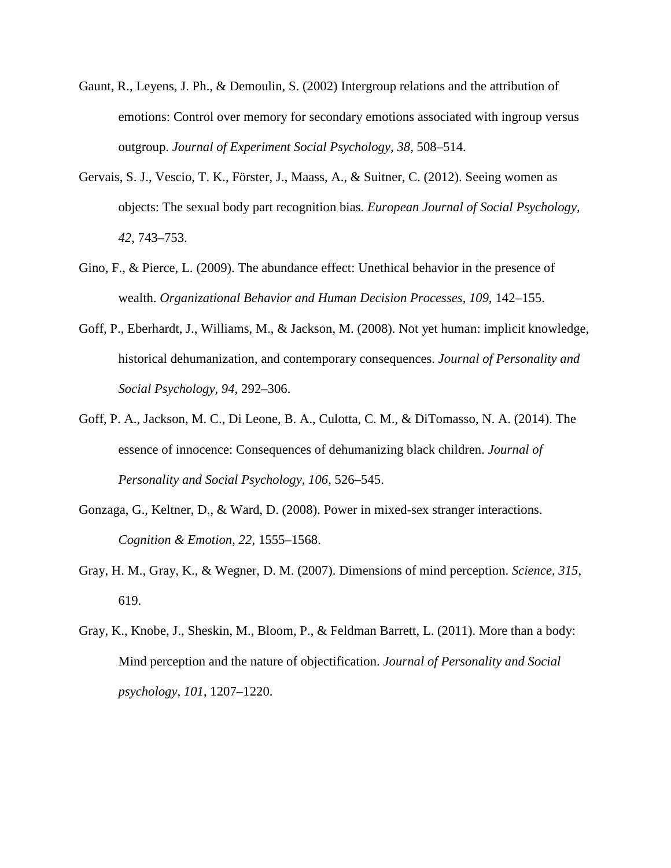- Gaunt, R., Leyens, J. Ph., & Demoulin, S. (2002) Intergroup relations and the attribution of emotions: Control over memory for secondary emotions associated with ingroup versus outgroup. *Journal of Experiment Social Psychology, 38*, 508–514.
- Gervais, S. J., Vescio, T. K., Förster, J., Maass, A., & Suitner, C. (2012). Seeing women as objects: The sexual body part recognition bias. *European Journal of Social Psychology, 42*, 743–753.
- Gino, F., & Pierce, L. (2009). The abundance effect: Unethical behavior in the presence of wealth. *Organizational Behavior and Human Decision Processes, 109*, 142–155.
- Goff, P., Eberhardt, J., Williams, M., & Jackson, M. (2008). Not yet human: implicit knowledge, historical dehumanization, and contemporary consequences. *Journal of Personality and Social Psychology, 94*, 292–306.
- Goff, P. A., Jackson, M. C., Di Leone, B. A., Culotta, C. M., & DiTomasso, N. A. (2014). The essence of innocence: Consequences of dehumanizing black children. *Journal of Personality and Social Psychology, 106*, 526–545.
- Gonzaga, G., Keltner, D., & Ward, D. (2008). Power in mixed-sex stranger interactions. *Cognition & Emotion, 22*, 1555–1568.
- Gray, H. M., Gray, K., & Wegner, D. M. (2007). Dimensions of mind perception. *Science, 315*, 619.
- Gray, K., Knobe, J., Sheskin, M., Bloom, P., & Feldman Barrett, L. (2011). More than a body: Mind perception and the nature of objectification. *Journal of Personality and Social psychology, 101*, 1207–1220.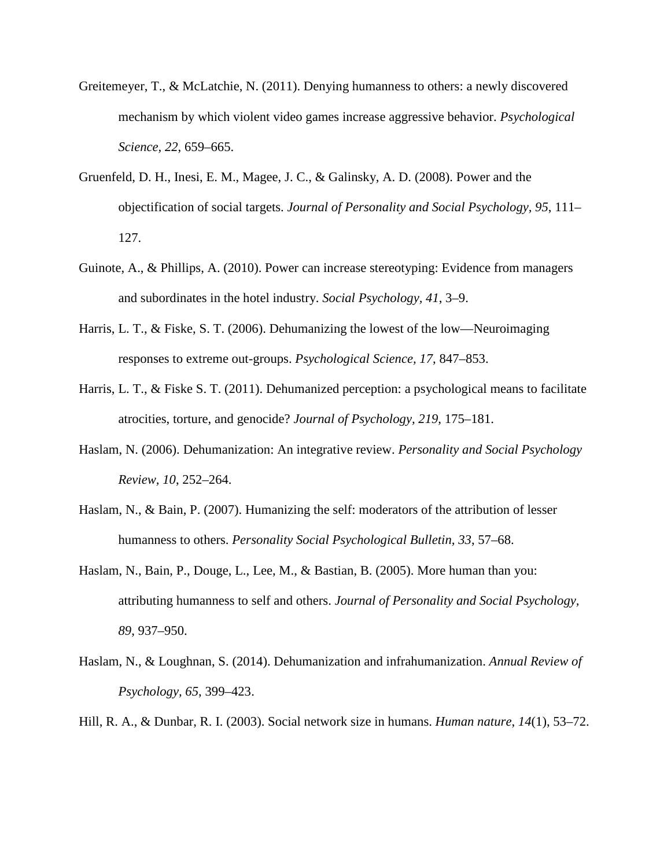- Greitemeyer, T., & McLatchie, N. (2011). Denying humanness to others: a newly discovered mechanism by which violent video games increase aggressive behavior. *Psychological Science, 22*, 659–665.
- Gruenfeld, D. H., Inesi, E. M., Magee, J. C., & Galinsky, A. D. (2008). Power and the objectification of social targets. *Journal of Personality and Social Psychology, 95*, 111– 127.
- Guinote, A., & Phillips, A. (2010). Power can increase stereotyping: Evidence from managers and subordinates in the hotel industry. *Social Psychology, 41*, 3–9.
- Harris, L. T., & Fiske, S. T. (2006). Dehumanizing the lowest of the low—Neuroimaging responses to extreme out-groups. *Psychological Science, 17*, 847–853.
- Harris, L. T., & Fiske S. T. (2011). Dehumanized perception: a psychological means to facilitate atrocities, torture, and genocide? *Journal of Psychology, 219*, 175–181.
- Haslam, N. (2006). Dehumanization: An integrative review. *Personality and Social Psychology Review, 10*, 252–264.
- Haslam, N., & Bain, P. (2007). Humanizing the self: moderators of the attribution of lesser humanness to others. *Personality Social Psychological Bulletin, 33*, 57–68.
- Haslam, N., Bain, P., Douge, L., Lee, M., & Bastian, B. (2005). More human than you: attributing humanness to self and others. *Journal of Personality and Social Psychology, 89*, 937–950.
- Haslam, N., & Loughnan, S. (2014). Dehumanization and infrahumanization. *Annual Review of Psychology, 65*, 399–423.
- Hill, R. A., & Dunbar, R. I. (2003). Social network size in humans. *Human nature*, *14*(1), 53–72.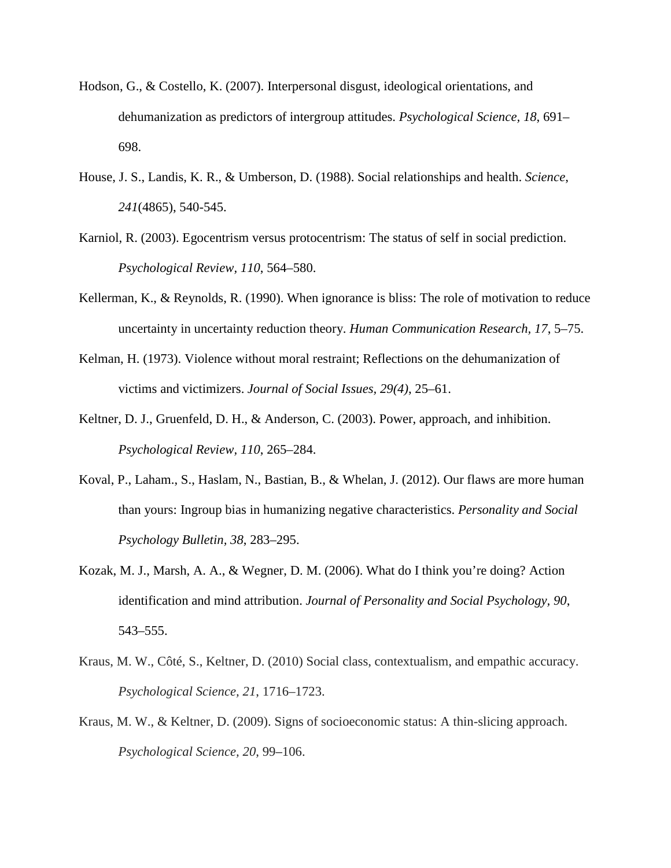- Hodson, G., & Costello, K. (2007). Interpersonal disgust, ideological orientations, and dehumanization as predictors of intergroup attitudes. *Psychological Science, 18*, 691– 698.
- House, J. S., Landis, K. R., & Umberson, D. (1988). Social relationships and health. *Science*, *241*(4865), 540-545.
- Karniol, R. (2003). Egocentrism versus protocentrism: The status of self in social prediction. *Psychological Review, 110*, 564–580.
- Kellerman, K., & Reynolds, R. (1990). When ignorance is bliss: The role of motivation to reduce uncertainty in uncertainty reduction theory. *Human Communication Research, 17*, 5–75.
- Kelman, H. (1973). Violence without moral restraint; Reflections on the dehumanization of victims and victimizers. *Journal of Social Issues, 29(4)*, 25–61.
- Keltner, D. J., Gruenfeld, D. H., & Anderson, C. (2003). Power, approach, and inhibition. *Psychological Review, 110*, 265–284.
- Koval, P., Laham., S., Haslam, N., Bastian, B., & Whelan, J. (2012). Our flaws are more human than yours: Ingroup bias in humanizing negative characteristics. *Personality and Social Psychology Bulletin, 38*, 283–295.
- Kozak, M. J., Marsh, A. A., & Wegner, D. M. (2006). What do I think you're doing? Action identification and mind attribution. *Journal of Personality and Social Psychology, 90*, 543–555.
- Kraus, M. W., Côté, S., Keltner, D. (2010) Social class, contextualism, and empathic accuracy. *Psychological Science, 21*, 1716–1723.
- Kraus, M. W., & Keltner, D. (2009). Signs of socioeconomic status: A thin-slicing approach. *Psychological Science, 20*, 99–106.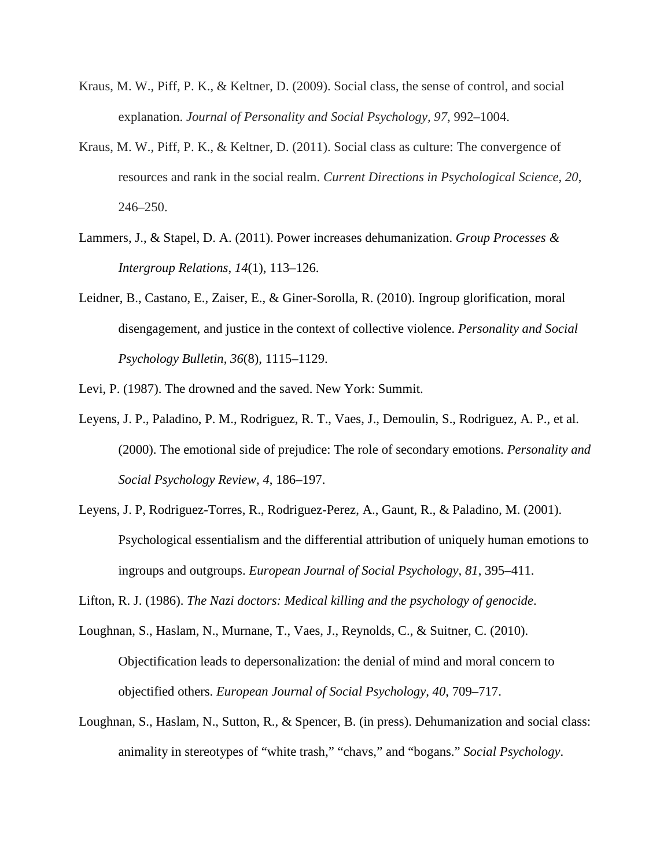- Kraus, M. W., Piff, P. K., & Keltner, D. (2009). Social class, the sense of control, and social explanation. *Journal of Personality and Social Psychology, 97*, 992–1004.
- Kraus, M. W., Piff, P. K., & Keltner, D. (2011). Social class as culture: The convergence of resources and rank in the social realm. *Current Directions in Psychological Science, 20*, 246–250.
- Lammers, J., & Stapel, D. A. (2011). Power increases dehumanization. *Group Processes & Intergroup Relations*, *14*(1), 113–126.
- Leidner, B., Castano, E., Zaiser, E., & Giner-Sorolla, R. (2010). Ingroup glorification, moral disengagement, and justice in the context of collective violence. *Personality and Social Psychology Bulletin*, *36*(8), 1115–1129.
- Levi, P. (1987). The drowned and the saved. New York: Summit.
- Leyens, J. P., Paladino, P. M., Rodriguez, R. T., Vaes, J., Demoulin, S., Rodriguez, A. P., et al. (2000). The emotional side of prejudice: The role of secondary emotions. *Personality and Social Psychology Review, 4*, 186–197.
- Leyens, J. P, Rodriguez-Torres, R., Rodriguez-Perez, A., Gaunt, R., & Paladino, M. (2001). Psychological essentialism and the differential attribution of uniquely human emotions to ingroups and outgroups. *European Journal of Social Psychology, 81*, 395–411.

Lifton, R. J. (1986). *The Nazi doctors: Medical killing and the psychology of genocide*.

- Loughnan, S., Haslam, N., Murnane, T., Vaes, J., Reynolds, C., & Suitner, C. (2010). Objectification leads to depersonalization: the denial of mind and moral concern to objectified others. *European Journal of Social Psychology, 40*, 709–717.
- Loughnan, S., Haslam, N., Sutton, R., & Spencer, B. (in press). Dehumanization and social class: animality in stereotypes of "white trash," "chavs," and "bogans." *Social Psychology*.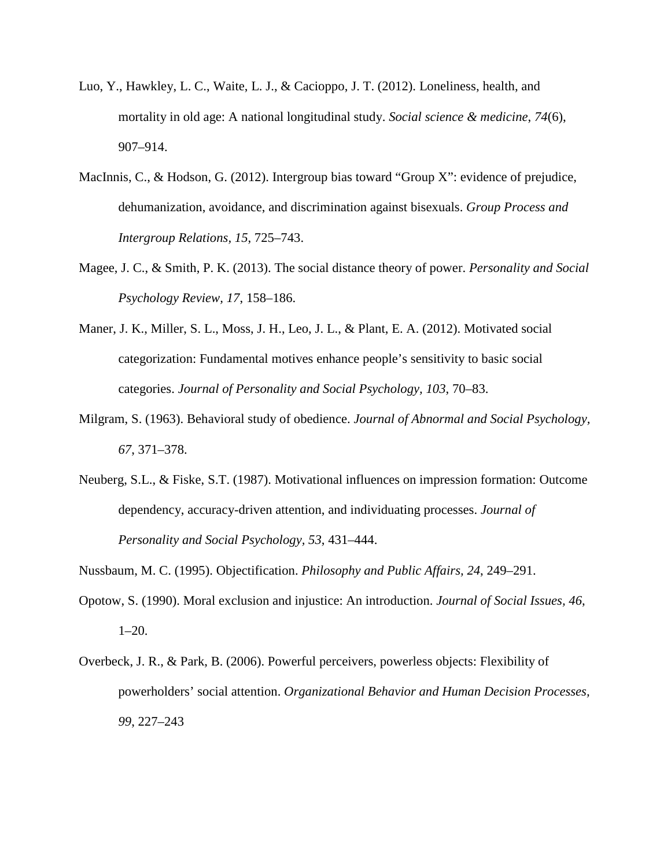- Luo, Y., Hawkley, L. C., Waite, L. J., & Cacioppo, J. T. (2012). Loneliness, health, and mortality in old age: A national longitudinal study. *Social science & medicine*, *74*(6), 907–914.
- MacInnis, C., & Hodson, G. (2012). Intergroup bias toward "Group X": evidence of prejudice, dehumanization, avoidance, and discrimination against bisexuals. *Group Process and Intergroup Relations, 15*, 725–743.
- Magee, J. C., & Smith, P. K. (2013). The social distance theory of power. *Personality and Social Psychology Review, 17*, 158–186.
- Maner, J. K., Miller, S. L., Moss, J. H., Leo, J. L., & Plant, E. A. (2012). Motivated social categorization: Fundamental motives enhance people's sensitivity to basic social categories. *Journal of Personality and Social Psychology, 103*, 70–83.
- Milgram, S. (1963). Behavioral study of obedience. *Journal of Abnormal and Social Psychology, 67*, 371–378.
- Neuberg, S.L., & Fiske, S.T. (1987). Motivational influences on impression formation: Outcome dependency, accuracy-driven attention, and individuating processes. *Journal of Personality and Social Psychology, 53*, 431–444.

Nussbaum, M. C. (1995). Objectification. *Philosophy and Public Affairs, 24*, 249–291.

- Opotow, S. (1990). Moral exclusion and injustice: An introduction. *Journal of Social Issues, 46*, 1–20.
- Overbeck, J. R., & Park, B. (2006). Powerful perceivers, powerless objects: Flexibility of powerholders' social attention. *Organizational Behavior and Human Decision Processes, 99*, 227–243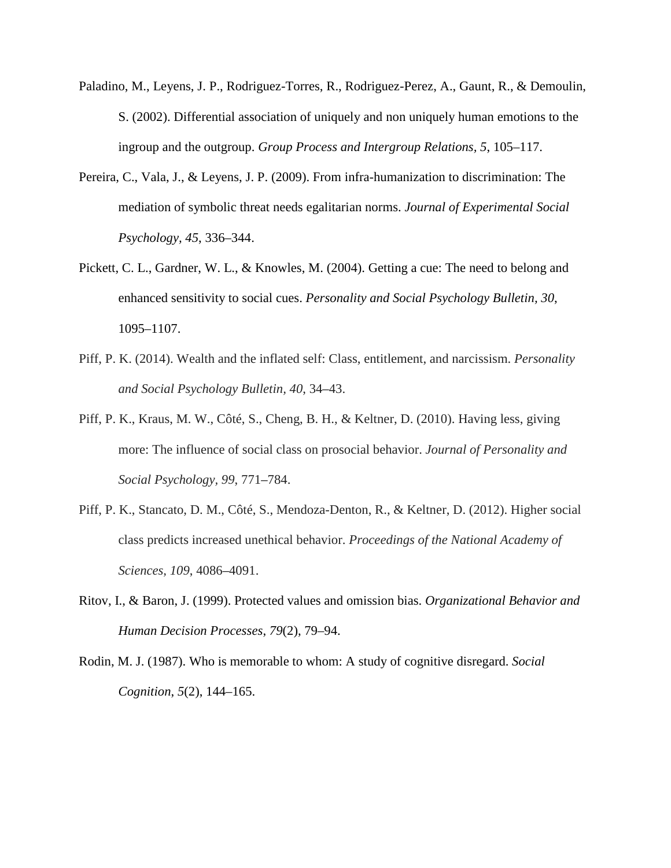- Paladino, M., Leyens, J. P., Rodriguez-Torres, R., Rodriguez-Perez, A., Gaunt, R., & Demoulin, S. (2002). Differential association of uniquely and non uniquely human emotions to the ingroup and the outgroup. *Group Process and Intergroup Relations, 5*, 105–117.
- Pereira, C., Vala, J., & Leyens, J. P. (2009). From infra-humanization to discrimination: The mediation of symbolic threat needs egalitarian norms. *Journal of Experimental Social Psychology, 45*, 336–344.
- Pickett, C. L., Gardner, W. L., & Knowles, M. (2004). Getting a cue: The need to belong and enhanced sensitivity to social cues. *Personality and Social Psychology Bulletin, 30*, 1095–1107.
- Piff, P. K. (2014). Wealth and the inflated self: Class, entitlement, and narcissism. *Personality and Social Psychology Bulletin, 40*, 34–43.
- Piff, P. K., Kraus, M. W., Côté, S., Cheng, B. H., & Keltner, D. (2010). Having less, giving more: The influence of social class on prosocial behavior. *Journal of Personality and Social Psychology, 99*, 771–784.
- Piff, P. K., Stancato, D. M., Côté, S., Mendoza-Denton, R., & Keltner, D. (2012). Higher social class predicts increased unethical behavior. *Proceedings of the National Academy of Sciences, 109*, 4086–4091.
- Ritov, I., & Baron, J. (1999). Protected values and omission bias. *Organizational Behavior and Human Decision Processes*, *79*(2), 79–94.
- Rodin, M. J. (1987). Who is memorable to whom: A study of cognitive disregard. *Social Cognition*, *5*(2), 144–165.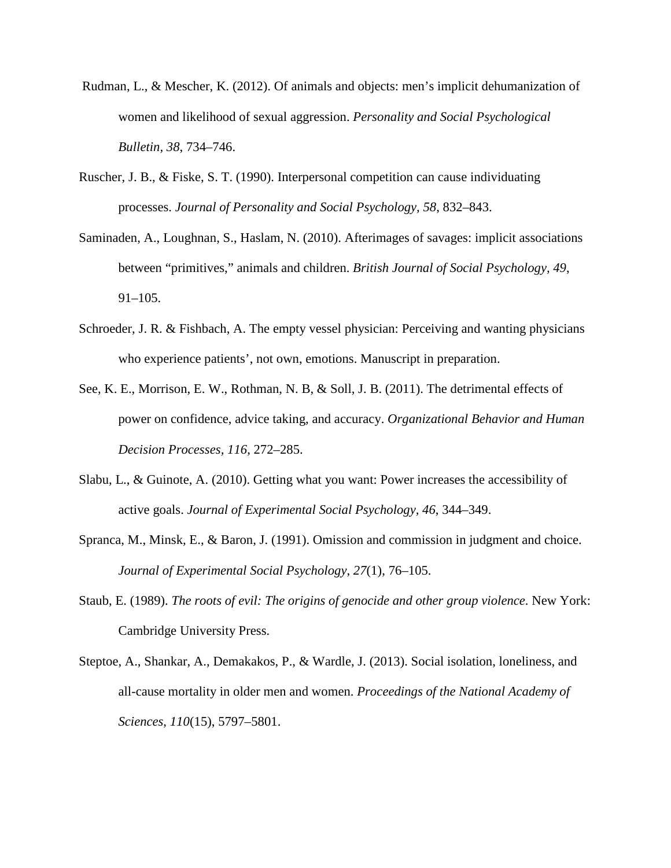- Rudman, L., & Mescher, K. (2012). Of animals and objects: men's implicit dehumanization of women and likelihood of sexual aggression. *Personality and Social Psychological Bulletin, 38*, 734–746.
- Ruscher, J. B., & Fiske, S. T. (1990). Interpersonal competition can cause individuating processes. *Journal of Personality and Social Psychology, 58*, 832–843.
- Saminaden, A., Loughnan, S., Haslam, N. (2010). Afterimages of savages: implicit associations between "primitives," animals and children. *British Journal of Social Psychology, 49*, 91–105.
- Schroeder, J. R. & Fishbach, A. The empty vessel physician: Perceiving and wanting physicians who experience patients', not own, emotions. Manuscript in preparation.
- See, K. E., Morrison, E. W., Rothman, N. B, & Soll, J. B. (2011). The detrimental effects of power on confidence, advice taking, and accuracy. *Organizational Behavior and Human Decision Processes, 116*, 272–285.
- Slabu, L., & Guinote, A. (2010). Getting what you want: Power increases the accessibility of active goals. *Journal of Experimental Social Psychology, 46*, 344–349.
- Spranca, M., Minsk, E., & Baron, J. (1991). Omission and commission in judgment and choice. *Journal of Experimental Social Psychology*, *27*(1), 76–105.
- Staub, E. (1989). *The roots of evil: The origins of genocide and other group violence*. New York: Cambridge University Press.
- Steptoe, A., Shankar, A., Demakakos, P., & Wardle, J. (2013). Social isolation, loneliness, and all-cause mortality in older men and women. *Proceedings of the National Academy of Sciences*, *110*(15), 5797–5801.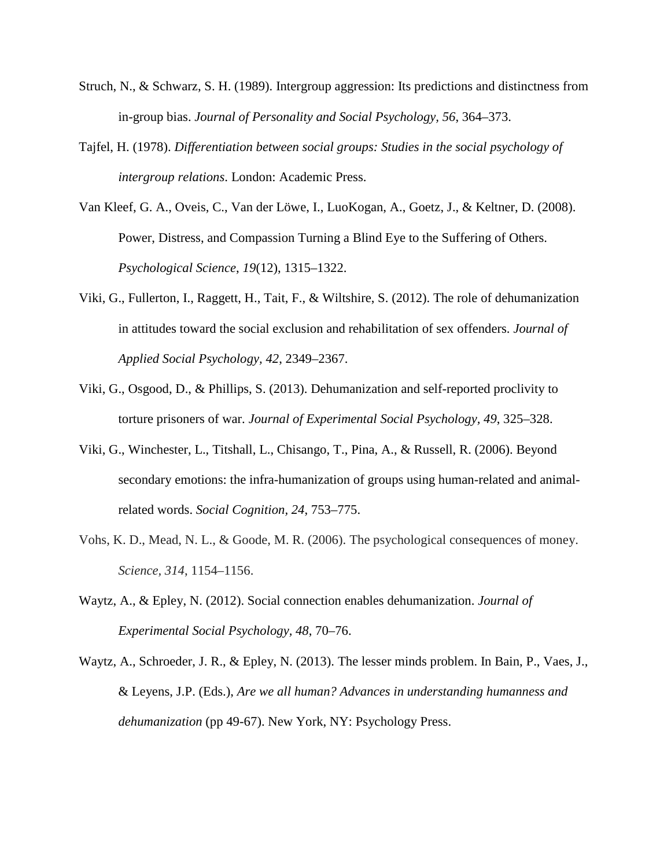- Struch, N., & Schwarz, S. H. (1989). Intergroup aggression: Its predictions and distinctness from in-group bias. *Journal of Personality and Social Psychology, 56*, 364–373.
- Tajfel, H. (1978). *Differentiation between social groups: Studies in the social psychology of intergroup relations*. London: Academic Press.
- Van Kleef, G. A., Oveis, C., Van der Löwe, I., LuoKogan, A., Goetz, J., & Keltner, D. (2008). Power, Distress, and Compassion Turning a Blind Eye to the Suffering of Others. *Psychological Science*, *19*(12), 1315–1322.
- Viki, G., Fullerton, I., Raggett, H., Tait, F., & Wiltshire, S. (2012). The role of dehumanization in attitudes toward the social exclusion and rehabilitation of sex offenders. *Journal of Applied Social Psychology, 42*, 2349–2367.
- Viki, G., Osgood, D., & Phillips, S. (2013). Dehumanization and self-reported proclivity to torture prisoners of war. *Journal of Experimental Social Psychology, 49*, 325–328.
- Viki, G., Winchester, L., Titshall, L., Chisango, T., Pina, A., & Russell, R. (2006). Beyond secondary emotions: the infra-humanization of groups using human-related and animalrelated words. *Social Cognition, 24*, 753–775.
- Vohs, K. D., Mead, N. L., & Goode, M. R. (2006). The psychological consequences of money. *Science, 314*, 1154–1156.
- Waytz, A., & Epley, N. (2012). Social connection enables dehumanization. *Journal of Experimental Social Psychology, 48*, 70–76.
- Waytz, A., Schroeder, J. R., & Epley, N. (2013). The lesser minds problem. In Bain, P., Vaes, J., & Leyens, J.P. (Eds.), *Are we all human? Advances in understanding humanness and dehumanization* (pp 49-67). New York, NY: Psychology Press.